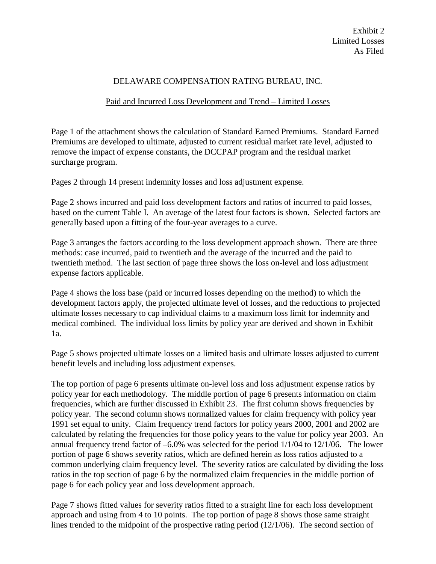## DELAWARE COMPENSATION RATING BUREAU, INC.

## Paid and Incurred Loss Development and Trend – Limited Losses

Page 1 of the attachment shows the calculation of Standard Earned Premiums. Standard Earned Premiums are developed to ultimate, adjusted to current residual market rate level, adjusted to remove the impact of expense constants, the DCCPAP program and the residual market surcharge program.

Pages 2 through 14 present indemnity losses and loss adjustment expense.

Page 2 shows incurred and paid loss development factors and ratios of incurred to paid losses, based on the current Table I. An average of the latest four factors is shown. Selected factors are generally based upon a fitting of the four-year averages to a curve.

Page 3 arranges the factors according to the loss development approach shown. There are three methods: case incurred, paid to twentieth and the average of the incurred and the paid to twentieth method. The last section of page three shows the loss on-level and loss adjustment expense factors applicable.

Page 4 shows the loss base (paid or incurred losses depending on the method) to which the development factors apply, the projected ultimate level of losses, and the reductions to projected ultimate losses necessary to cap individual claims to a maximum loss limit for indemnity and medical combined. The individual loss limits by policy year are derived and shown in Exhibit 1a.

Page 5 shows projected ultimate losses on a limited basis and ultimate losses adjusted to current benefit levels and including loss adjustment expenses.

The top portion of page 6 presents ultimate on-level loss and loss adjustment expense ratios by policy year for each methodology. The middle portion of page 6 presents information on claim frequencies, which are further discussed in Exhibit 23. The first column shows frequencies by policy year. The second column shows normalized values for claim frequency with policy year 1991 set equal to unity. Claim frequency trend factors for policy years 2000, 2001 and 2002 are calculated by relating the frequencies for those policy years to the value for policy year 2003. An annual frequency trend factor of –6.0% was selected for the period 1/1/04 to 12/1/06. The lower portion of page 6 shows severity ratios, which are defined herein as loss ratios adjusted to a common underlying claim frequency level. The severity ratios are calculated by dividing the loss ratios in the top section of page 6 by the normalized claim frequencies in the middle portion of page 6 for each policy year and loss development approach.

Page 7 shows fitted values for severity ratios fitted to a straight line for each loss development approach and using from 4 to 10 points. The top portion of page 8 shows those same straight lines trended to the midpoint of the prospective rating period (12/1/06). The second section of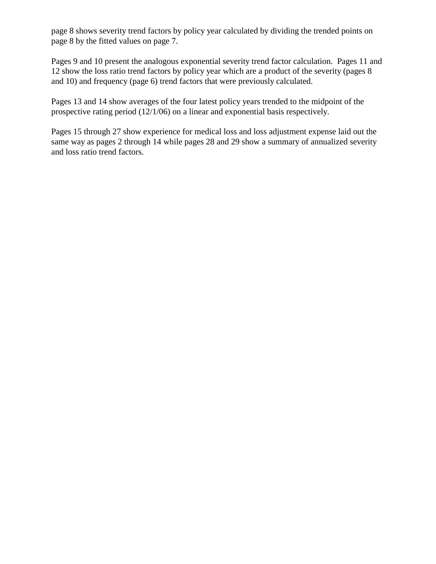page 8 shows severity trend factors by policy year calculated by dividing the trended points on page 8 by the fitted values on page 7.

Pages 9 and 10 present the analogous exponential severity trend factor calculation. Pages 11 and 12 show the loss ratio trend factors by policy year which are a product of the severity (pages 8 and 10) and frequency (page 6) trend factors that were previously calculated.

Pages 13 and 14 show averages of the four latest policy years trended to the midpoint of the prospective rating period (12/1/06) on a linear and exponential basis respectively.

Pages 15 through 27 show experience for medical loss and loss adjustment expense laid out the same way as pages 2 through 14 while pages 28 and 29 show a summary of annualized severity and loss ratio trend factors.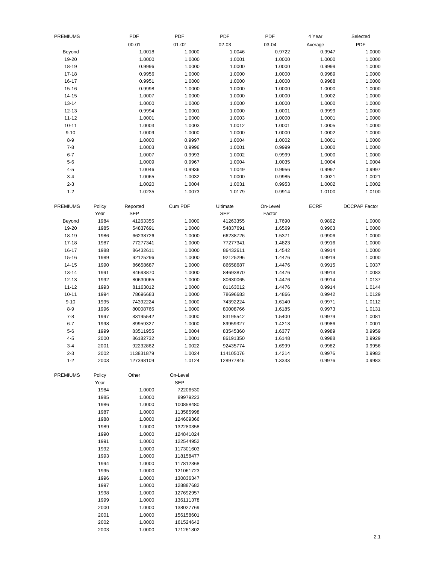| <b>PREMIUMS</b> |        | PDF        | PDF        | PDF        | PDF      | 4 Year      | Selected             |
|-----------------|--------|------------|------------|------------|----------|-------------|----------------------|
|                 |        | $00 - 01$  | $01 - 02$  | 02-03      | 03-04    | Average     | PDF                  |
| Beyond          |        | 1.0018     | 1.0000     | 1.0046     | 0.9722   | 0.9947      | 1.0000               |
| 19-20           |        | 1.0000     | 1.0000     | 1.0001     | 1.0000   | 1.0000      | 1.0000               |
| $18 - 19$       |        | 0.9996     | 1.0000     | 1.0000     | 1.0000   | 0.9999      | 1.0000               |
| $17 - 18$       |        | 0.9956     | 1.0000     | 1.0000     | 1.0000   | 0.9989      | 1.0000               |
| $16 - 17$       |        | 0.9951     | 1.0000     | 1.0000     | 1.0000   | 0.9988      | 1.0000               |
| $15 - 16$       |        | 0.9998     | 1.0000     | 1.0000     | 1.0000   | 1.0000      | 1.0000               |
| $14 - 15$       |        | 1.0007     | 1.0000     | 1.0000     | 1.0000   | 1.0002      | 1.0000               |
| $13 - 14$       |        | 1.0000     | 1.0000     | 1.0000     | 1.0000   | 1.0000      | 1.0000               |
| $12 - 13$       |        | 0.9994     | 1.0001     | 1.0000     | 1.0001   | 0.9999      | 1.0000               |
| $11 - 12$       |        | 1.0001     | 1.0000     | 1.0003     | 1.0000   | 1.0001      | 1.0000               |
| $10 - 11$       |        | 1.0003     | 1.0003     | 1.0012     | 1.0001   | 1.0005      | 1.0000               |
| $9 - 10$        |        | 1.0009     | 1.0000     | 1.0000     | 1.0000   | 1.0002      | 1.0000               |
| $8 - 9$         |        | 1.0000     | 0.9997     | 1.0004     | 1.0002   | 1.0001      | 1.0000               |
| $7 - 8$         |        | 1.0003     | 0.9996     | 1.0001     | 0.9999   | 1.0000      | 1.0000               |
| $6 - 7$         |        | 1.0007     | 0.9993     | 1.0002     | 0.9999   | 1.0000      | 1.0000               |
| $5-6$           |        | 1.0009     | 0.9967     | 1.0004     | 1.0035   | 1.0004      | 1.0004               |
| $4 - 5$         |        | 1.0046     | 0.9936     | 1.0049     | 0.9956   | 0.9997      | 0.9997               |
| $3 - 4$         |        | 1.0065     | 1.0032     | 1.0000     | 0.9985   | 1.0021      | 1.0021               |
| $2 - 3$         |        | 1.0020     | 1.0004     | 1.0031     | 0.9953   | 1.0002      | 1.0002               |
| $1 - 2$         |        | 1.0235     | 1.0073     | 1.0179     | 0.9914   | 1.0100      | 1.0100               |
|                 |        |            |            |            |          |             |                      |
| <b>PREMIUMS</b> | Policy | Reported   | Cum PDF    | Ultimate   | On-Level | <b>ECRF</b> | <b>DCCPAP Factor</b> |
|                 | Year   | <b>SEP</b> |            | <b>SEP</b> | Factor   |             |                      |
| Beyond          | 1984   | 41263355   | 1.0000     | 41263355   | 1.7690   | 0.9892      | 1.0000               |
| 19-20           | 1985   | 54837691   | 1.0000     | 54837691   | 1.6569   | 0.9903      | 1.0000               |
| $18 - 19$       | 1986   | 66238726   | 1.0000     | 66238726   | 1.5371   | 0.9906      | 1.0000               |
| $17 - 18$       | 1987   | 77277341   | 1.0000     | 77277341   | 1.4823   | 0.9916      | 1.0000               |
| $16 - 17$       | 1988   | 86432611   | 1.0000     | 86432611   | 1.4542   | 0.9914      | 1.0000               |
| $15 - 16$       | 1989   | 92125296   | 1.0000     | 92125296   | 1.4476   | 0.9919      | 1.0000               |
| $14 - 15$       | 1990   | 86658687   | 1.0000     | 86658687   | 1.4476   | 0.9915      | 1.0037               |
| $13 - 14$       | 1991   | 84693870   | 1.0000     | 84693870   | 1.4476   | 0.9913      | 1.0083               |
| $12 - 13$       | 1992   | 80630065   | 1.0000     | 80630065   | 1.4476   | 0.9914      | 1.0137               |
| $11 - 12$       | 1993   | 81163012   | 1.0000     | 81163012   | 1.4476   | 0.9914      | 1.0144               |
| $10 - 11$       | 1994   | 78696683   | 1.0000     | 78696683   | 1.4866   | 0.9942      | 1.0129               |
| $9 - 10$        | 1995   | 74392224   | 1.0000     | 74392224   | 1.6140   | 0.9971      | 1.0112               |
| $8 - 9$         | 1996   | 80008766   | 1.0000     | 80008766   | 1.6185   | 0.9973      | 1.0131               |
| $7 - 8$         | 1997   | 83195542   | 1.0000     | 83195542   | 1.5400   | 0.9979      | 1.0081               |
| $6 - 7$         | 1998   | 89959327   | 1.0000     | 89959327   | 1.4213   | 0.9986      | 1.0001               |
| $5 - 6$         | 1999   | 83511955   | 1.0004     | 83545360   | 1.6377   | 0.9989      | 0.9959               |
| $4 - 5$         | 2000   | 86182732   | 1.0001     | 86191350   | 1.6148   | 0.9988      | 0.9929               |
| $3 - 4$         | 2001   | 92232862   | 1.0022     | 92435774   | 1.6999   | 0.9982      | 0.9956               |
| $2 - 3$         | 2002   | 113831879  | 1.0024     | 114105076  | 1.4214   | 0.9976      | 0.9983               |
| $1 - 2$         | 2003   | 127398109  | 1.0124     | 128977846  | 1.3333   | 0.9976      | 0.9983               |
|                 |        |            |            |            |          |             |                      |
| <b>PREMIUMS</b> | Policy | Other      | On-Level   |            |          |             |                      |
|                 | Year   |            | <b>SEP</b> |            |          |             |                      |
|                 | 1984   | 1.0000     | 72206530   |            |          |             |                      |
|                 | 1985   | 1.0000     | 89979223   |            |          |             |                      |
|                 | 1986   | 1.0000     | 100858480  |            |          |             |                      |
|                 | 1987   | 1.0000     | 113585998  |            |          |             |                      |
|                 | 1988   | 1.0000     | 124609366  |            |          |             |                      |
|                 | 1989   | 1.0000     | 132280358  |            |          |             |                      |
|                 | 1990   | 1.0000     | 124841024  |            |          |             |                      |
|                 | 1991   | 1.0000     | 122544952  |            |          |             |                      |
|                 | 1992   | 1.0000     | 117301603  |            |          |             |                      |
|                 | 1993   | 1.0000     | 118158477  |            |          |             |                      |
|                 | 1994   | 1.0000     | 117812368  |            |          |             |                      |
|                 | 1995   | 1.0000     | 121061723  |            |          |             |                      |
|                 | 1996   | 1.0000     | 130836347  |            |          |             |                      |
|                 | 1997   | 1.0000     | 128887682  |            |          |             |                      |
|                 | 1998   | 1.0000     | 127692957  |            |          |             |                      |
|                 | 1999   | 1.0000     | 136111378  |            |          |             |                      |
|                 | 2000   | 1.0000     | 138027769  |            |          |             |                      |
|                 | 2001   | 1.0000     | 156158601  |            |          |             |                      |
|                 | 2002   | 1.0000     | 161524642  |            |          |             |                      |
|                 | 2003   | 1.0000     | 171261802  |            |          |             |                      |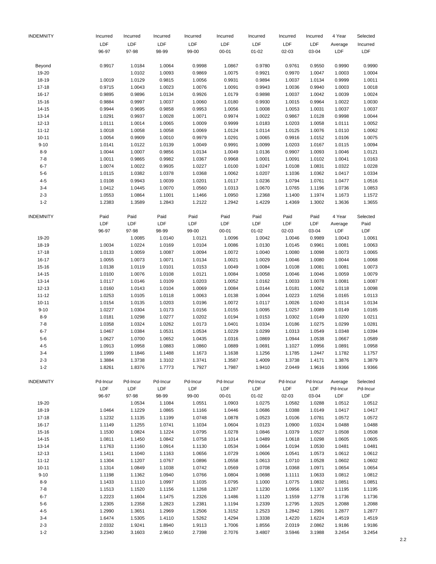| <b>INDEMNITY</b> | Incurred | Incurred | Incurred | Incurred | Incurred  | Incurred  | Incurred | Incurred   | 4 Year   | Selected   |
|------------------|----------|----------|----------|----------|-----------|-----------|----------|------------|----------|------------|
|                  | LDF      | LDF      | LDF      | LDF      | LDF       | LDF       | LDF      | LDF        | Average  | Incurred   |
|                  | 96-97    | 97-98    | 98-99    | 99-00    | $00 - 01$ | $01 - 02$ | 02-03    | 03-04      | LDF      | LDF        |
| Beyond           | 0.9917   | 1.0184   | 1.0064   | 0.9998   | 1.0867    | 0.9780    | 0.9761   | 0.9550     | 0.9990   | 0.9990     |
| 19-20            |          | 1.0102   | 1.0093   | 0.9869   | 1.0075    | 0.9921    | 0.9970   | 1.0047     | 1.0003   | 1.0004     |
| 18-19            | 1.0019   | 1.0129   | 0.9815   | 1.0056   | 0.9931    | 0.9894    | 1.0037   | 1.0134     | 0.9999   | 1.0011     |
| 17-18            | 0.9715   | 1.0043   | 1.0023   | 1.0076   | 1.0091    | 0.9943    | 1.0036   | 0.9940     | 1.0003   | 1.0018     |
| 16-17            | 0.9895   | 0.9896   | 1.0134   | 0.9926   | 1.0179    | 0.9898    | 1.0037   | 1.0042     | 1.0039   | 1.0024     |
| 15-16            | 0.9884   | 0.9997   | 1.0037   | 1.0060   | 1.0180    | 0.9930    | 1.0015   | 0.9964     | 1.0022   | 1.0030     |
| 14-15            | 0.9944   | 0.9695   | 0.9858   | 0.9953   | 1.0056    | 1.0008    | 1.0053   | 1.0031     | 1.0037   | 1.0037     |
| 13-14            | 1.0291   | 0.9937   | 1.0028   | 1.0071   | 0.9974    | 1.0022    | 0.9867   | 1.0128     | 0.9998   | 1.0044     |
| $12 - 13$        | 1.0111   | 1.0014   | 1.0065   | 1.0009   | 0.9999    | 1.0183    | 1.0203   | 1.0058     | 1.0111   | 1.0052     |
| $11 - 12$        | 1.0018   | 1.0058   | 1.0058   | 1.0069   | 1.0124    | 1.0114    | 1.0125   | 1.0076     | 1.0110   | 1.0062     |
| $10 - 11$        | 1.0054   | 0.9909   | 1.0010   | 0.9979   | 1.0291    | 1.0065    | 0.9916   | 1.0152     | 1.0106   | 1.0075     |
| $9 - 10$         | 1.0141   | 1.0122   | 1.0139   | 1.0049   | 0.9991    | 1.0099    | 1.0203   | 1.0167     | 1.0115   | 1.0094     |
| $8 - 9$          | 1.0044   | 1.0007   | 0.9856   | 1.0134   | 1.0049    | 1.0136    | 0.9907   | 1.0093     | 1.0046   | 1.0121     |
| $7 - 8$          | 1.0011   | 0.9865   | 0.9982   | 1.0367   | 0.9968    | 1.0001    | 1.0091   | 1.0102     | 1.0041   | 1.0163     |
| $6 - 7$          | 1.0074   | 1.0022   | 0.9935   | 1.0227   | 1.0100    | 1.0247    | 1.0108   | 1.0831     | 1.0322   | 1.0228     |
| $5 - 6$          | 1.0115   | 1.0382   | 1.0378   | 1.0368   | 1.0062    | 1.0207    | 1.1036   | 1.0362     | 1.0417   | 1.0334     |
| $4 - 5$          | 1.0108   | 0.9943   | 1.0039   | 1.0201   | 1.0117    | 1.0236    | 1.0794   | 1.0761     | 1.0477   | 1.0516     |
| $3 - 4$          | 1.0412   | 1.0445   | 1.0070   | 1.0560   | 1.0313    | 1.0670    | 1.0765   | 1.1196     | 1.0736   | 1.0853     |
| $2 - 3$          | 1.0553   | 1.0864   | 1.1001   | 1.1466   | 1.0950    | 1.2368    | 1.1400   | 1.1974     | 1.1673   | 1.1572     |
| $1 - 2$          | 1.2383   | 1.3589   | 1.2843   | 1.2122   | 1.2942    | 1.4229    | 1.4369   | 1.3002     | 1.3636   | 1.3655     |
| <b>INDEMNITY</b> | Paid     | Paid     | Paid     | Paid     | Paid      | Paid      | Paid     | Paid       | 4 Year   | Selected   |
|                  | LDF      | LDF      | LDF      | LDF      | LDF       | LDF       | LDF      | LDF        | Average  | Paid       |
|                  | 96-97    | 97-98    | 98-99    | 99-00    | $00 - 01$ | $01 - 02$ | 02-03    | 03-04      | LDF      | LDF        |
| 19-20            |          | 1.0085   | 1.0140   | 1.0121   | 1.0096    | 1.0042    | 1.0046   | 0.9989     | 1.0043   | 1.0061     |
| 18-19            | 1.0034   | 1.0224   | 1.0169   | 1.0104   | 1.0086    | 1.0130    | 1.0145   | 0.9961     | 1.0081   | 1.0063     |
| $17 - 18$        | 1.0133   | 1.0059   | 1.0087   | 1.0094   | 1.0072    | 1.0040    | 1.0080   | 1.0098     | 1.0073   | 1.0065     |
| 16-17            | 1.0055   | 1.0073   | 1.0071   | 1.0134   | 1.0021    | 1.0029    | 1.0046   | 1.0080     | 1.0044   | 1.0068     |
| 15-16            | 1.0138   | 1.0119   | 1.0101   | 1.0153   | 1.0049    | 1.0084    | 1.0108   | 1.0081     | 1.0081   | 1.0073     |
| $14 - 15$        | 1.0100   | 1.0076   | 1.0108   | 1.0121   | 1.0084    | 1.0058    | 1.0046   | 1.0046     | 1.0059   | 1.0079     |
| 13-14            | 1.0117   | 1.0146   | 1.0109   | 1.0203   | 1.0052    | 1.0162    | 1.0033   | 1.0078     | 1.0081   | 1.0087     |
| 12-13            | 1.0160   | 1.0143   | 1.0104   | 1.0069   | 1.0084    | 1.0144    | 1.0181   | 1.0062     | 1.0118   | 1.0098     |
| $11 - 12$        | 1.0253   | 1.0105   | 1.0118   | 1.0063   | 1.0138    | 1.0044    | 1.0223   | 1.0256     | 1.0165   | 1.0113     |
| $10 - 11$        | 1.0154   | 1.0135   | 1.0203   | 1.0196   | 1.0072    | 1.0117    | 1.0026   | 1.0240     | 1.0114   | 1.0134     |
| $9 - 10$         | 1.0227   | 1.0304   | 1.0173   | 1.0156   | 1.0155    | 1.0095    | 1.0257   | 1.0089     | 1.0149   | 1.0165     |
| $8 - 9$          | 1.0181   | 1.0298   | 1.0277   | 1.0202   | 1.0194    | 1.0153    | 1.0302   | 1.0149     | 1.0200   | 1.0211     |
| $7 - 8$          | 1.0358   | 1.0324   | 1.0262   | 1.0173   | 1.0401    | 1.0334    | 1.0186   | 1.0275     | 1.0299   | 1.0281     |
| $6 - 7$          | 1.0467   | 1.0384   | 1.0531   | 1.0534   | 1.0229    | 1.0299    | 1.0313   | 1.0549     | 1.0348   | 1.0394     |
| $5 - 6$          | 1.0627   | 1.0700   | 1.0652   | 1.0435   | 1.0316    | 1.0869    | 1.0944   | 1.0538     | 1.0667   | 1.0589     |
| $4 - 5$          | 1.0913   | 1.0958   | 1.0883   | 1.0860   | 1.0889    | 1.0691    | 1.1027   | 1.0956     | 1.0891   | 1.0958     |
| 3-4              | 1.1999   | 1.1846   | 1.1488   | 1.1673   | 1.1638    | 1.1256    | 1.1785   | 1.2447     | 1.1782   | 1.1757     |
| $2 - 3$          | 1.3884   | 1.3738   | 1.3102   | 1.3741   | 1.3587    | 1.4009    | 1.3738   | 1.4171     | 1.3876   | 1.3879     |
| $1 - 2$          | 1.8261   | 1.8376   | 1.7773   | 1.7927   | 1.7987    | 1.9410    | 2.0449   | 1.9616     | 1.9366   | 1.9366     |
| <b>INDEMNITY</b> | Pd-Incur | Pd-Incur | Pd-Incur | Pd-Incur | Pd-Incur  | Pd-Incur  | Pd-Incur | Pd-Incur   | Average  | Selected   |
|                  | LDF      | LDF      | LDF      | LDF      | LDF       | LDF       | LDF      | <b>LDF</b> | Pd-Incur | Pd-Incur   |
|                  | 96-97    | 97-98    | 98-99    | 99-00    | $00 - 01$ | $01 - 02$ | 02-03    | 03-04      | LDF      | <b>LDF</b> |
| 19-20            |          | 1.0534   | 1.1084   | 1.0551   | 1.0903    | 1.0275    | 1.0582   | 1.0288     | 1.0512   | 1.0512     |
| 18-19            | 1.0464   | 1.1229   | 1.0865   | 1.1166   | 1.0446    | 1.0686    | 1.0388   | 1.0149     | 1.0417   | 1.0417     |
| $17 - 18$        | 1.1232   | 1.1135   | 1.1199   | 1.0748   | 1.0878    | 1.0523    | 1.0106   | 1.0781     | 1.0572   | 1.0572     |
| 16-17            | 1.1149   | 1.1255   | 1.0741   | 1.1034   | 1.0604    | 1.0123    | 1.0900   | 1.0324     | 1.0488   | 1.0488     |
| 15-16            | 1.1530   | 1.0824   | 1.1224   | 1.0795   | 1.0278    | 1.0846    | 1.0379   | 1.0527     | 1.0508   | 1.0508     |
| $14 - 15$        | 1.0811   | 1.1450   | 1.0842   | 1.0758   | 1.1014    | 1.0489    | 1.0618   | 1.0298     | 1.0605   | 1.0605     |
| 13-14            | 1.1763   | 1.1160   | 1.0914   | 1.1130   | 1.0534    | 1.0664    | 1.0194   | 1.0530     | 1.0481   | 1.0481     |
| 12-13            | 1.1411   | 1.1040   | 1.1163   | 1.0656   | 1.0729    | 1.0606    | 1.0541   | 1.0573     | 1.0612   | 1.0612     |
| $11 - 12$        | 1.1304   | 1.1207   | 1.0767   | 1.0896   | 1.0558    | 1.0613    | 1.0710   | 1.0528     | 1.0602   | 1.0602     |
| $10 - 11$        | 1.1314   | 1.0849   | 1.1038   | 1.0742   | 1.0569    | 1.0708    | 1.0368   | 1.0971     | 1.0654   | 1.0654     |
| $9 - 10$         | 1.1198   | 1.1362   | 1.0940   | 1.0766   | 1.0804    | 1.0698    | 1.1111   | 1.0633     | 1.0812   | 1.0812     |
| $8 - 9$          | 1.1433   | 1.1110   | 1.0997   | 1.1035   | 1.0795    | 1.1000    | 1.0775   | 1.0832     | 1.0851   | 1.0851     |
| $7 - 8$          | 1.1513   | 1.1520   | 1.1156   | 1.1268   | 1.1287    | 1.1230    | 1.0956   | 1.1307     | 1.1195   | 1.1195     |
| $6 - 7$          | 1.2223   | 1.1604   | 1.1475   | 1.2326   | 1.1486    | 1.1120    | 1.1559   | 1.2778     | 1.1736   | 1.1736     |
| $5-6$            | 1.2305   | 1.2358   | 1.2823   | 1.2381   | 1.1194    | 1.2339    | 1.2795   | 1.2025     | 1.2088   | 1.2088     |
| $4 - 5$          | 1.2990   | 1.3651   | 1.2969   | 1.2506   | 1.3152    | 1.2523    | 1.2842   | 1.2991     | 1.2877   | 1.2877     |
| $3 - 4$          | 1.6474   | 1.5305   | 1.4110   | 1.5262   | 1.4294    | 1.3338    | 1.4220   | 1.6224     | 1.4519   | 1.4519     |
| $2 - 3$          | 2.0332   | 1.9241   | 1.8940   | 1.9113   | 1.7006    | 1.8556    | 2.0319   | 2.0862     | 1.9186   | 1.9186     |
| $1 - 2$          | 3.2340   | 3.1603   | 2.9610   | 2.7398   | 2.7076    | 3.4807    | 3.5946   | 3.1988     | 3.2454   | 3.2454     |
|                  |          |          |          |          |           |           |          |            |          |            |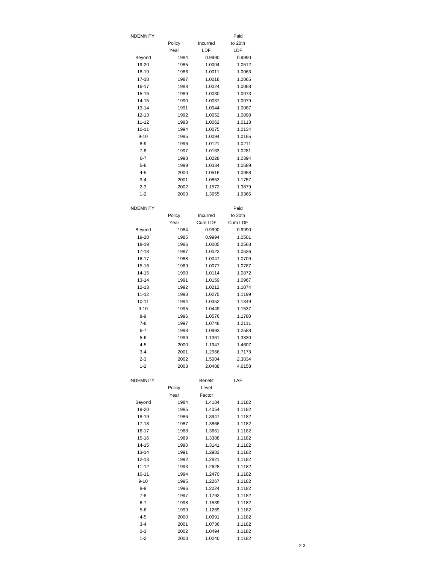| INDEMNITY          |              |                  | Paid             |
|--------------------|--------------|------------------|------------------|
|                    | Policy       | Incurred         | to 20th          |
|                    | Year         | LDF              | LDF              |
| Beyond             | 1984         | 0.9990           | 0.9990           |
| 19-20              | 1985         | 1.0004           | 1.0512           |
| 18-19              | 1986         | 1.0011           | 1.0063           |
| 17-18              | 1987         | 1.0018           | 1.0065           |
| 16-17<br>15-16     | 1988         | 1.0024           | 1.0068           |
| 14-15              | 1989<br>1990 | 1.0030<br>1.0037 | 1.0073<br>1.0079 |
| 13-14              | 1991         | 1.0044           | 1.0087           |
| $12 - 13$          | 1992         | 1.0052           | 1.0098           |
| $11 - 12$          | 1993         | 1.0062           | 1.0113           |
| $10 - 11$          | 1994         | 1.0075           | 1.0134           |
| $9 - 10$           | 1995         | 1.0094           | 1.0165           |
| $8 - 9$            | 1996         | 1.0121           | 1.0211           |
| $7-8$              | 1997         | 1.0163           | 1.0281           |
| 6-7                | 1998         | 1.0228           | 1.0394           |
| $5 - 6$            | 1999         | 1.0334           | 1.0589           |
| $4 - 5$            | 2000         | 1.0516           | 1.0958           |
| 3-4                | 2001         | 1.0853           | 1.1757           |
| $2 - 3$            | 2002         | 1.1572           | 1.3879           |
| $1 - 2$            | 2003         | 1.3655           | 1.9366           |
|                    |              |                  |                  |
| INDEMNITY          | Policy       | Incurred         | Paid<br>to 20th  |
|                    | Year         | Cum LDF          | Cum LDF          |
| Beyond             | 1984         | 0.9990           | 0.9990           |
| 19-20              | 1985         | 0.9994           | 1.0501           |
| 18-19              | 1986         | 1.0005           | 1.0568           |
| $17 - 18$          | 1987         | 1.0023           | 1.0636           |
| 16-17              | 1988         | 1.0047           | 1.0709           |
| 15-16              | 1989         | 1.0077           | 1.0787           |
| 14-15              | 1990         | 1.0114           | 1.0872           |
| $13 - 14$          | 1991         | 1.0159           | 1.0967           |
| 12-13              | 1992         | 1.0212           | 1.1074           |
| 11-12              | 1993         | 1.0275           | 1.1199           |
| $10 - 11$          | 1994         | 1.0352           | 1.1349           |
| 9-10               | 1995         | 1.0449           | 1.1537           |
| $8-9$              | 1996         | 1.0576           | 1.1780           |
| $7-8$              | 1997         | 1.0748           | 1.2111           |
| $6 - 7$            | 1998         | 1.0993           | 1.2588           |
| 5-6<br>$4 - 5$     | 1999<br>2000 | 1.1361<br>1.1947 | 1.3330<br>1.4607 |
| 3-4                | 2001         | 1.2966           | 1.7173           |
| $2 - 3$            | 2002         | 1.5004           | 2.3834           |
| $1 - 2$            | 2003         | 2.0488           | 4.6158           |
|                    |              |                  |                  |
| <b>INDEMNITY</b>   |              | <b>Benefit</b>   | LAE              |
|                    | Policy       | Level            |                  |
|                    | Year         | Factor           |                  |
| Beyond             | 1984         | 1.4184           | 1.1182           |
| 19-20              | 1985         | 1.4054           | 1.1182           |
| 18-19              | 1986         | 1.3947           | 1.1182           |
| 17-18              | 1987         | 1.3866           | 1.1182           |
| 16-17              | 1988         | 1.3661           | 1.1182           |
| 15-16              | 1989         | 1.3388           | 1.1182           |
| 14-15              | 1990         | 1.3141           | 1.1182           |
| $13 - 14$<br>12-13 | 1991<br>1992 | 1.2983<br>1.2821 | 1.1182<br>1.1182 |
| 11-12              |              | 1.2628           | 1.1182           |
| $10 - 11$          | 1993<br>1994 | 1.2470           | 1.1182           |
| $9 - 10$           | 1995         | 1.2267           | 1.1182           |
| 8-9                | 1996         | 1.2024           | 1.1182           |
| $7-8$              | 1997         | 1.1793           | 1.1182           |
| 6-7                | 1998         | 1.1539           | 1.1182           |
| $5 - 6$            | 1999         | 1.1269           | 1.1182           |
| $4 - 5$            | 2000         | 1.0991           | 1.1182           |
| $3 - 4$            | 2001         | 1.0736           | 1.1182           |
| $2 - 3$            | 2002         | 1.0494           | 1.1182           |
| $1 - 2$            | 2003         | 1.0240           | 1.1182           |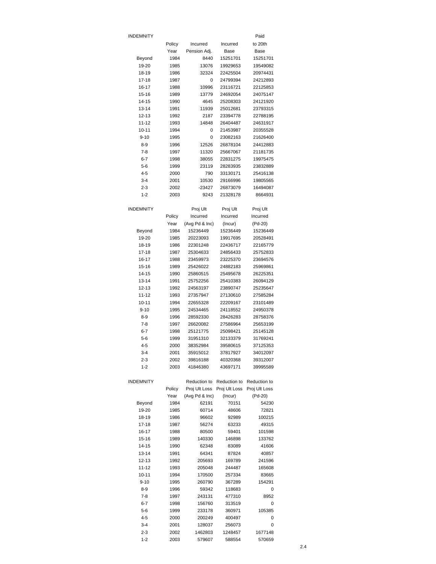| INDEMNITY             |              |                 |                      | Paid                 |
|-----------------------|--------------|-----------------|----------------------|----------------------|
|                       | Policy       | Incurred        | Incurred             | to 20th              |
|                       | Year         | Pension Adj.    | Base                 | Base                 |
| Beyond                | 1984         | 8440            | 15251701             | 15251701             |
| 19-20                 | 1985         | 13076           | 19929653             | 19549082             |
| 18-19                 | 1986         | 32324           | 22425504             | 20974431             |
| 17-18                 | 1987         | 0               | 24799394             | 24212893             |
| 16-17                 | 1988         | 10996           | 23116721             | 22125853             |
| 15-16                 | 1989         | 13779           | 24692054             | 24075147             |
| 14-15                 | 1990         | 4645            | 25208303             | 24121920             |
| 13-14                 | 1991         | 11939           | 25012681             | 23793315             |
| 12-13                 | 1992         | 2187            | 23394778             | 22788195             |
| 11-12                 | 1993         | 14848           | 26404487             | 24631917             |
| $10 - 11$             | 1994         | 0               | 21453987             | 20355528             |
| $9 - 10$              | 1995         | 0               | 23082163             | 21626400             |
| 8-9                   | 1996         | 12526           | 26878104             | 24412883             |
| $7-8$                 | 1997         | 11320           | 25667067             | 21181735             |
| $6 - 7$               | 1998         | 38055           | 22831275             | 19975475             |
| 5-6                   | 1999         | 23119           | 28283935<br>33130171 | 23832889             |
| $4 - 5$<br>$3 - 4$    | 2000         | 790<br>10530    | 29166996             | 25416138<br>19805565 |
|                       | 2001<br>2002 |                 | 26873079             |                      |
| $2 - 3$               |              | -23427          |                      | 16494087             |
| $1 - 2$               | 2003         | 9243            | 21328178             | 8664931              |
| INDEMNITY             |              | Proj Ult        | Proj Ult             | Proj Ult             |
|                       | Policy       | Incurred        | Incurred             | Incurred             |
|                       | Year         | (Avg Pd & Inc)  | (Incur)              | (Pd-20)              |
| Beyond                | 1984         | 15236449        | 15236449             | 15236449             |
| 19-20                 | 1985         | 20223093        | 19917695             | 20528491             |
| 18-19                 | 1986         | 22301248        | 22436717             | 22165779             |
| 17-18                 | 1987         | 25304633        | 24856433             | 25752833             |
| 16-17                 | 1988         | 23459973        | 23225370             | 23694576             |
| 15-16                 | 1989         | 25426022        | 24882183             | 25969861             |
| 14-15                 | 1990         | 25860515        | 25495678             | 26225351             |
| 13-14                 | 1991         | 25752256        | 25410383             | 26094129             |
| $12 - 13$             | 1992         | 24563197        | 23890747             | 25235647             |
| 11-12                 | 1993         | 27357947        | 27130610             | 27585284             |
| $10 - 11$             | 1994         | 22655328        | 22209167             | 23101489             |
| $9 - 10$              | 1995         | 24534465        | 24118552             | 24950378             |
| $8 - 9$               | 1996         | 28592330        | 28426283             | 28758376             |
| 7-8                   | 1997         | 26620082        | 27586964             | 25653199             |
| $6 - 7$               | 1998         | 25121775        | 25098421             | 25145128             |
| $5 - 6$               | 1999         | 31951310        | 32133379             | 31769241<br>37125353 |
| 4-5                   | 2000         | 38352984        | 39580615             |                      |
| $3 - 4$               | 2001         | 35915012        | 37817927             | 34012097             |
| $2 - 3$               | 2002         | 39816188        | 40320368             | 39312007             |
| $1 - 2$               | 2003         | 41846380        | 43697171             | 39995589             |
| <b>INDEMNITY</b>      |              | Reduction to    | Reduction to         | Reduction to         |
|                       | Policy       | Proj Ult Loss   | Proj Ult Loss        | Proj Ult Loss        |
|                       | Year         | (Avg Pd & Inc)  | (Incur)              | (Pd-20)              |
| Beyond                | 1984         | 62191           | 70151                | 54230                |
| 19-20                 | 1985         | 60714           | 48606                | 72821                |
| 18-19                 | 1986         | 96602           | 92989                | 100215               |
| 17-18                 | 1987         | 56274           | 63233                | 49315                |
| 16-17                 | 1988         | 80500           | 59401                | 101598               |
| 15-16                 | 1989         | 140330          | 146898               | 133762               |
| 14-15                 | 1990         | 62348           | 83089                | 41606                |
| 13-14                 | 1991         | 64341           | 87824                | 40857                |
| $12 - 13$             | 1992         | 205693          | 169789               | 241596               |
| 11-12                 | 1993         | 205048          | 244487               | 165608               |
| $10 - 11$<br>$9 - 10$ | 1994<br>1995 | 170500          | 257334               | 83665<br>154291      |
| $8 - 9$               | 1996         | 260790<br>59342 | 367289<br>118683     | 0                    |
| $7-8$                 | 1997         | 243131          | 477310               | 8952                 |
| $6 - 7$               | 1998         | 156760          | 313519               | 0                    |
| $5 - 6$               | 1999         | 233178          | 360971               | 105385               |
| $4 - 5$               | 2000         | 200249          | 400497               | 0                    |
| $3 - 4$               | 2001         | 128037          | 256073               | 0                    |
| $2 - 3$               | 2002         | 1462803         | 1248457              | 1677148              |
| $1 - 2$               | 2003         | 579607          | 588554               | 570659               |
|                       |              |                 |                      |                      |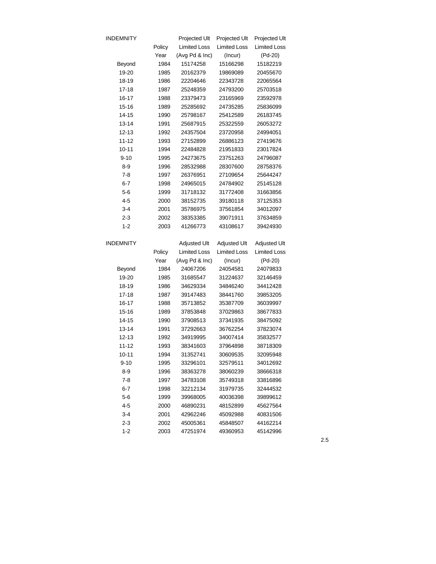| <b>INDEMNITY</b> |        | Projected Ult       | Projected Ult       | Projected Ult       |
|------------------|--------|---------------------|---------------------|---------------------|
|                  | Policy | <b>Limited Loss</b> | <b>Limited Loss</b> | <b>Limited Loss</b> |
|                  | Year   | (Avg Pd & Inc)      | (Incur)             | (Pd-20)             |
| Beyond           | 1984   | 15174258            | 15166298            | 15182219            |
| 19-20            | 1985   | 20162379            | 19869089            | 20455670            |
| 18-19            | 1986   | 22204646            | 22343728            | 22065564            |
| $17 - 18$        | 1987   | 25248359            | 24793200            | 25703518            |
| 16-17            | 1988   | 23379473            | 23165969            | 23592978            |
| 15-16            | 1989   | 25285692            | 24735285            | 25836099            |
| 14-15            | 1990   | 25798167            | 25412589            | 26183745            |
| 13-14            | 1991   | 25687915            | 25322559            | 26053272            |
| $12 - 13$        | 1992   | 24357504            | 23720958            | 24994051            |
| 11-12            | 1993   | 27152899            | 26886123            | 27419676            |
| $10 - 11$        | 1994   | 22484828            | 21951833            | 23017824            |
| $9 - 10$         | 1995   | 24273675            | 23751263            | 24796087            |
| $8 - 9$          | 1996   | 28532988            | 28307600            | 28758376            |
| $7-8$            | 1997   | 26376951            | 27109654            | 25644247            |
| $6 - 7$          | 1998   | 24965015            | 24784902            | 25145128            |
| 5-6              | 1999   | 31718132            | 31772408            | 31663856            |
| 4-5              | 2000   | 38152735            | 39180118            | 37125353            |
| $3 - 4$          | 2001   | 35786975            | 37561854            | 34012097            |
| $2 - 3$          | 2002   | 38353385            | 39071911            | 37634859            |
| $1 - 2$          | 2003   | 41266773            | 43108617            | 39424930            |
|                  |        |                     |                     |                     |
| INDEMNITY        |        | <b>Adjusted Ult</b> | <b>Adjusted Ult</b> | <b>Adjusted Ult</b> |
|                  | Policy | <b>Limited Loss</b> | <b>Limited Loss</b> | <b>Limited Loss</b> |
|                  | Year   | (Avg Pd & Inc)      | (Incur)             | (Pd-20)             |
| Beyond           | 1984   | 24067206            | 24054581            | 24079833            |
| 19-20            | 1985   | 31685547            | 31224637            | 32146459            |
| 18-19            | 1986   | 34629334            | 34846240            | 34412428            |
| $17 - 18$        | 1987   | 39147483            | 38441760            | 39853205            |
| 16-17            | 1988   | 35713852            | 35387709            | 36039997            |
| 15-16            | 1989   | 37853848            | 37029863            | 38677833            |
| 14-15            | 1990   | 37908513            | 37341935            | 38475092            |
| $13 - 14$        | 1991   | 37292663            | 36762254            | 37823074            |
| 12-13            | 1992   | 34919995            | 34007414            | 35832577            |
| $11 - 12$        | 1993   | 38341603            | 37964898            | 38718309            |
| $10 - 11$        | 1994   | 31352741            | 30609535            | 32095948            |
| $9 - 10$         | 1995   | 33296101            | 32579511            | 34012692            |
| $8 - 9$          | 1996   | 38363278            | 38060239            | 38666318            |
| $7-8$            | 1997   | 34783108            | 35749318            | 33816896            |
| $6 - 7$          | 1998   | 32212134            | 31979735            | 32444532            |
| 5-6              | 1999   | 39968005            | 40036398            | 39899612            |
| $4 - 5$          | 2000   | 46890231            | 48152899            | 45627564            |
| 3-4              | 2001   | 42962246            | 45092988            | 40831506            |
| $2 - 3$          | 2002   | 45005361            | 45848507            | 44162214            |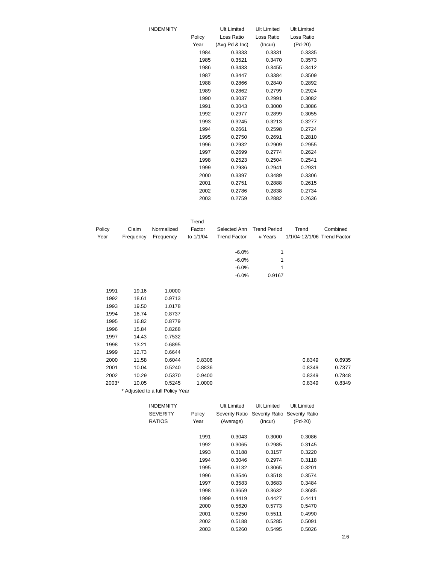| <b>INDEMNITY</b> |        | <b>Ult Limited</b> | Ult Limited | <b>Ult Limited</b> |
|------------------|--------|--------------------|-------------|--------------------|
|                  | Policy | Loss Ratio         | Loss Ratio  | Loss Ratio         |
|                  | Year   | (Avg Pd & Inc)     | (Incur)     | (Pd-20)            |
|                  | 1984   | 0.3333             | 0.3331      | 0.3335             |
|                  | 1985   | 0.3521             | 0.3470      | 0.3573             |
|                  | 1986   | 0.3433             | 0.3455      | 0.3412             |
|                  | 1987   | 0.3447             | 0.3384      | 0.3509             |
|                  | 1988   | 0.2866             | 0.2840      | 0.2892             |
|                  | 1989   | 0.2862             | 0.2799      | 0.2924             |
|                  | 1990   | 0.3037             | 0.2991      | 0.3082             |
|                  | 1991   | 0.3043             | 0.3000      | 0.3086             |
|                  | 1992   | 0.2977             | 0.2899      | 0.3055             |
|                  | 1993   | 0.3245             | 0.3213      | 0.3277             |
|                  | 1994   | 0.2661             | 0.2598      | 0.2724             |
|                  | 1995   | 0.2750             | 0.2691      | 0.2810             |
|                  | 1996   | 0.2932             | 0.2909      | 0.2955             |
|                  | 1997   | 0.2699             | 0.2774      | 0.2624             |
|                  | 1998   | 0.2523             | 0.2504      | 0.2541             |
|                  | 1999   | 0.2936             | 0.2941      | 0.2931             |
|                  | 2000   | 0.3397             | 0.3489      | 0.3306             |
|                  | 2001   | 0.2751             | 0.2888      | 0.2615             |
|                  | 2002   | 0.2786             | 0.2838      | 0.2734             |
|                  | 2003   | 0.2759             | 0.2882      | 0.2636             |
|                  |        |                    |             |                    |

|        |           |            | Trend     |                     |                     |                             |          |
|--------|-----------|------------|-----------|---------------------|---------------------|-----------------------------|----------|
| Policy | Claim     | Normalized | Factor    | Selected Ann        | <b>Trend Period</b> | Trend                       | Combined |
| Year   | Frequency | Frequency  | to 1/1/04 | <b>Trend Factor</b> | # Years             | 1/1/04-12/1/06 Trend Factor |          |
|        |           |            |           | $-6.0\%$            | 1                   |                             |          |
|        |           |            |           | $-6.0\%$            | 1                   |                             |          |
|        |           |            |           | $-6.0\%$            | 1                   |                             |          |
|        |           |            |           | $-6.0%$             | 0.9167              |                             |          |
| 1991   | 19.16     | 1.0000     |           |                     |                     |                             |          |

| 1992  | 18.61 | 0.9713                           |        |  |        |        |
|-------|-------|----------------------------------|--------|--|--------|--------|
| 1993  | 19.50 | 1.0178                           |        |  |        |        |
| 1994  | 16.74 | 0.8737                           |        |  |        |        |
| 1995  | 16.82 | 0.8779                           |        |  |        |        |
| 1996  | 15.84 | 0.8268                           |        |  |        |        |
| 1997  | 14.43 | 0.7532                           |        |  |        |        |
| 1998  | 13.21 | 0.6895                           |        |  |        |        |
| 1999  | 12.73 | 0.6644                           |        |  |        |        |
| 2000  | 11.58 | 0.6044                           | 0.8306 |  | 0.8349 | 0.6935 |
| 2001  | 10.04 | 0.5240                           | 0.8836 |  | 0.8349 | 0.7377 |
| 2002  | 10.29 | 0.5370                           | 0.9400 |  | 0.8349 | 0.7848 |
| 2003* | 10.05 | 0.5245                           | 1.0000 |  | 0.8349 | 0.8349 |
|       |       | * Adjusted to a full Policy Year |        |  |        |        |

| INDEMNITY<br>SEVERITY<br>RATIOS | Policy<br>Year | <b>Ult Limited</b><br>Severity Ratio<br>(Average) | Ult Limited<br>Severity Ratio Severity Ratio<br>(Incur) | Ult Limited<br>(Pd-20) |
|---------------------------------|----------------|---------------------------------------------------|---------------------------------------------------------|------------------------|
|                                 | 1991           | 0.3043                                            | 0.3000                                                  | 0.3086                 |
|                                 | 1992           | 0.3065                                            | 0.2985                                                  | 0.3145                 |
|                                 | 1993           | 0.3188                                            | 0.3157                                                  | 0.3220                 |
|                                 | 1994           | 0.3046                                            | 0.2974                                                  | 0.3118                 |
|                                 | 1995           | 0.3132                                            | 0.3065                                                  | 0.3201                 |
|                                 | 1996           | 0.3546                                            | 0.3518                                                  | 0.3574                 |
|                                 | 1997           | 0.3583                                            | 0.3683                                                  | 0.3484                 |
|                                 | 1998           | 0.3659                                            | 0.3632                                                  | 0.3685                 |
|                                 | 1999           | 0.4419                                            | 0.4427                                                  | 0.4411                 |
|                                 | 2000           | 0.5620                                            | 0.5773                                                  | 0.5470                 |
|                                 | 2001           | 0.5250                                            | 0.5511                                                  | 0.4990                 |
|                                 | 2002           | 0.5188                                            | 0.5285                                                  | 0.5091                 |
|                                 | 2003           | 0.5260                                            | 0.5495                                                  | 0.5026                 |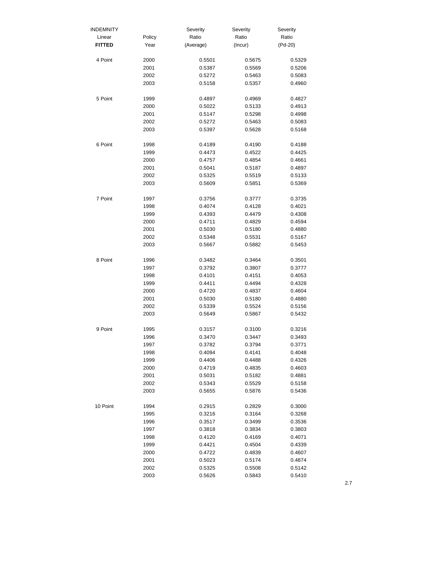| <b>INDEMNITY</b> |              | Severity         | Severity         | Severity         |
|------------------|--------------|------------------|------------------|------------------|
| Linear           | Policy       | Ratio            | Ratio            | Ratio            |
| <b>FITTED</b>    | Year         | (Average)        | (Incur)          | $(Pd-20)$        |
| 4 Point          | 2000         | 0.5501           | 0.5675           | 0.5329           |
|                  | 2001         | 0.5387           | 0.5569           | 0.5206           |
|                  | 2002         | 0.5272           | 0.5463           | 0.5083           |
|                  | 2003         | 0.5158           | 0.5357           | 0.4960           |
| 5 Point          | 1999         | 0.4897           | 0.4969           | 0.4827           |
|                  | 2000         | 0.5022           | 0.5133           | 0.4913           |
|                  | 2001         | 0.5147           | 0.5298           | 0.4998           |
|                  | 2002         | 0.5272           | 0.5463           | 0.5083           |
|                  | 2003         | 0.5397           | 0.5628           | 0.5168           |
| 6 Point          | 1998         | 0.4189           | 0.4190           | 0.4188           |
|                  | 1999         | 0.4473           | 0.4522           | 0.4425           |
|                  | 2000         | 0.4757           | 0.4854           | 0.4661           |
|                  | 2001         | 0.5041           | 0.5187           | 0.4897           |
|                  | 2002         | 0.5325           | 0.5519           | 0.5133           |
|                  | 2003         | 0.5609           | 0.5851           | 0.5369           |
| 7 Point          | 1997         | 0.3756           | 0.3777           | 0.3735           |
|                  | 1998         | 0.4074           | 0.4128           | 0.4021           |
|                  | 1999         | 0.4393           | 0.4479           | 0.4308           |
|                  | 2000         | 0.4711           | 0.4829           | 0.4594           |
|                  | 2001         | 0.5030           | 0.5180           | 0.4880           |
|                  | 2002         | 0.5348           | 0.5531           | 0.5167           |
|                  | 2003         | 0.5667           | 0.5882           | 0.5453           |
| 8 Point          | 1996         | 0.3482           | 0.3464           | 0.3501           |
|                  | 1997         | 0.3792           | 0.3807           | 0.3777           |
|                  | 1998         | 0.4101           | 0.4151           | 0.4053           |
|                  | 1999         | 0.4411           | 0.4494           | 0.4328           |
|                  | 2000         | 0.4720           | 0.4837           | 0.4604           |
|                  | 2001         | 0.5030           | 0.5180           | 0.4880           |
|                  | 2002         | 0.5339           | 0.5524           | 0.5156           |
|                  | 2003         | 0.5649           | 0.5867           | 0.5432           |
| 9 Point          | 1995         | 0.3157           | 0.3100           | 0.3216           |
|                  | 1996         | 0.3470           | 0.3447           | 0.3493           |
|                  | 1997         | 0.3782           | 0.3794           | 0.3771           |
|                  | 1998         | 0.4094           | 0.4141           | 0.4048           |
|                  | 1999         | 0.4406           | 0.4488           | 0.4326           |
|                  | 2000         | 0.4719           | 0.4835           | 0.4603           |
|                  | 2001         | 0.5031           | 0.5182           | 0.4881           |
|                  | 2002         | 0.5343           | 0.5529           | 0.5158           |
|                  | 2003         | 0.5655           | 0.5876           | 0.5436           |
| 10 Point         | 1994         | 0.2915           | 0.2829           | 0.3000           |
|                  | 1995         | 0.3216           | 0.3164           | 0.3268           |
|                  | 1996         | 0.3517           | 0.3499           | 0.3536           |
|                  | 1997         | 0.3818           | 0.3834           | 0.3803           |
|                  | 1998         | 0.4120           | 0.4169           | 0.4071           |
|                  | 1999         | 0.4421           | 0.4504           | 0.4339           |
|                  | 2000         | 0.4722           | 0.4839           | 0.4607           |
|                  | 2001         | 0.5023           | 0.5174           | 0.4874           |
|                  | 2002<br>2003 | 0.5325<br>0.5626 | 0.5508<br>0.5843 | 0.5142<br>0.5410 |
|                  |              |                  |                  |                  |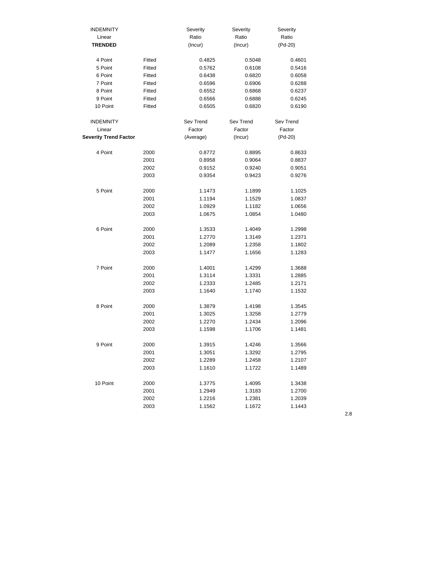| <b>INDEMNITY</b>             |        | Severity  | Severity  | Severity  |
|------------------------------|--------|-----------|-----------|-----------|
| Linear                       |        | Ratio     | Ratio     | Ratio     |
| <b>TRENDED</b>               |        | (Incur)   | (Incur)   | $(Pd-20)$ |
|                              |        |           |           |           |
| 4 Point                      | Fitted | 0.4825    | 0.5048    | 0.4601    |
| 5 Point                      | Fitted | 0.5762    | 0.6108    | 0.5416    |
| 6 Point                      | Fitted | 0.6438    | 0.6820    | 0.6058    |
| 7 Point                      | Fitted | 0.6596    | 0.6906    | 0.6288    |
| 8 Point                      | Fitted | 0.6552    | 0.6868    | 0.6237    |
| 9 Point                      | Fitted | 0.6566    | 0.6888    | 0.6245    |
| 10 Point                     | Fitted | 0.6505    | 0.6820    | 0.6190    |
|                              |        |           |           |           |
| <b>INDEMNITY</b>             |        | Sev Trend | Sev Trend | Sev Trend |
| Linear                       |        | Factor    | Factor    | Factor    |
| <b>Severity Trend Factor</b> |        | (Average) | (Incur)   | $(Pd-20)$ |
| 4 Point                      | 2000   | 0.8772    | 0.8895    | 0.8633    |
|                              | 2001   | 0.8958    | 0.9064    | 0.8837    |
|                              | 2002   | 0.9152    | 0.9240    | 0.9051    |
|                              | 2003   | 0.9354    | 0.9423    | 0.9276    |
|                              |        |           |           |           |
| 5 Point                      | 2000   | 1.1473    | 1.1899    | 1.1025    |
|                              | 2001   | 1.1194    | 1.1529    | 1.0837    |
|                              | 2002   | 1.0929    | 1.1182    | 1.0656    |
|                              | 2003   | 1.0675    | 1.0854    | 1.0480    |
|                              |        |           |           |           |
| 6 Point                      | 2000   | 1.3533    | 1.4049    | 1.2998    |
|                              | 2001   | 1.2770    | 1.3149    | 1.2371    |
|                              | 2002   | 1.2089    | 1.2358    | 1.1802    |
|                              | 2003   | 1.1477    | 1.1656    | 1.1283    |
|                              |        |           |           |           |
| 7 Point                      | 2000   | 1.4001    | 1.4299    | 1.3688    |
|                              | 2001   | 1.3114    | 1.3331    | 1.2885    |
|                              | 2002   | 1.2333    | 1.2485    | 1.2171    |
|                              | 2003   | 1.1640    | 1.1740    | 1.1532    |
| 8 Point                      | 2000   | 1.3879    | 1.4198    | 1.3545    |
|                              | 2001   | 1.3025    | 1.3258    | 1.2779    |
|                              | 2002   | 1.2270    | 1.2434    | 1.2096    |
|                              | 2003   | 1.1598    | 1.1706    | 1.1481    |
|                              |        |           |           |           |
| 9 Point                      | 2000   | 1.3915    | 1.4246    | 1.3566    |
|                              | 2001   | 1.3051    | 1.3292    | 1.2795    |
|                              | 2002   | 1.2289    | 1.2458    | 1.2107    |
|                              | 2003   | 1.1610    | 1.1722    | 1.1489    |
| 10 Point                     | 2000   | 1.3775    | 1.4095    | 1.3438    |
|                              | 2001   | 1.2949    | 1.3183    | 1.2700    |
|                              | 2002   | 1.2216    | 1.2381    | 1.2039    |
|                              | 2003   | 1.1562    | 1.1672    | 1.1443    |
|                              |        |           |           |           |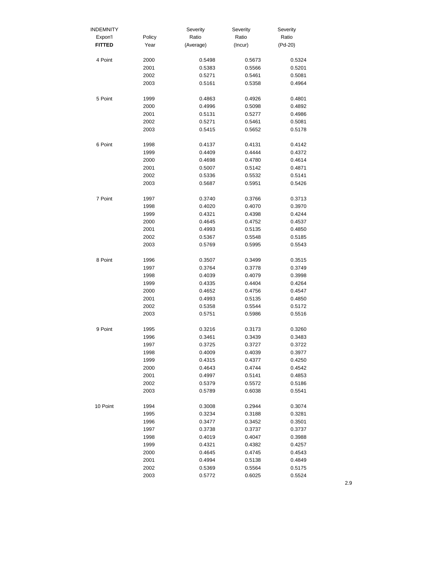| <b>INDEMNITY</b> |        | Severity  | Severity | Severity  |
|------------------|--------|-----------|----------|-----------|
| Expon'l          | Policy | Ratio     | Ratio    | Ratio     |
| <b>FITTED</b>    | Year   | (Average) | (Incur)  | $(Pd-20)$ |
| 4 Point          | 2000   | 0.5498    | 0.5673   | 0.5324    |
|                  | 2001   | 0.5383    | 0.5566   | 0.5201    |
|                  | 2002   | 0.5271    | 0.5461   | 0.5081    |
|                  | 2003   | 0.5161    | 0.5358   | 0.4964    |
| 5 Point          | 1999   | 0.4863    | 0.4926   | 0.4801    |
|                  | 2000   | 0.4996    | 0.5098   | 0.4892    |
|                  | 2001   | 0.5131    | 0.5277   | 0.4986    |
|                  | 2002   | 0.5271    | 0.5461   | 0.5081    |
|                  | 2003   | 0.5415    | 0.5652   | 0.5178    |
| 6 Point          | 1998   | 0.4137    | 0.4131   | 0.4142    |
|                  | 1999   | 0.4409    | 0.4444   | 0.4372    |
|                  | 2000   | 0.4698    | 0.4780   | 0.4614    |
|                  | 2001   | 0.5007    | 0.5142   | 0.4871    |
|                  | 2002   | 0.5336    | 0.5532   | 0.5141    |
|                  | 2003   | 0.5687    | 0.5951   | 0.5426    |
| 7 Point          | 1997   | 0.3740    | 0.3766   | 0.3713    |
|                  | 1998   | 0.4020    | 0.4070   | 0.3970    |
|                  | 1999   | 0.4321    | 0.4398   | 0.4244    |
|                  | 2000   | 0.4645    | 0.4752   | 0.4537    |
|                  | 2001   | 0.4993    | 0.5135   | 0.4850    |
|                  | 2002   | 0.5367    | 0.5548   | 0.5185    |
|                  | 2003   | 0.5769    | 0.5995   | 0.5543    |
| 8 Point          | 1996   | 0.3507    | 0.3499   | 0.3515    |
|                  | 1997   | 0.3764    | 0.3778   | 0.3749    |
|                  | 1998   | 0.4039    | 0.4079   | 0.3998    |
|                  | 1999   | 0.4335    | 0.4404   | 0.4264    |
|                  | 2000   | 0.4652    | 0.4756   | 0.4547    |
|                  | 2001   | 0.4993    | 0.5135   | 0.4850    |
|                  | 2002   | 0.5358    | 0.5544   | 0.5172    |
|                  | 2003   | 0.5751    | 0.5986   | 0.5516    |
| 9 Point          | 1995   | 0.3216    | 0.3173   | 0.3260    |
|                  | 1996   | 0.3461    | 0.3439   | 0.3483    |
|                  | 1997   | 0.3725    | 0.3727   | 0.3722    |
|                  | 1998   | 0.4009    | 0.4039   | 0.3977    |
|                  | 1999   | 0.4315    | 0.4377   | 0.4250    |
|                  | 2000   | 0.4643    | 0.4744   | 0.4542    |
|                  | 2001   | 0.4997    | 0.5141   | 0.4853    |
|                  | 2002   | 0.5379    | 0.5572   | 0.5186    |
|                  | 2003   | 0.5789    | 0.6038   | 0.5541    |
| 10 Point         | 1994   | 0.3008    | 0.2944   | 0.3074    |
|                  | 1995   | 0.3234    | 0.3188   | 0.3281    |
|                  | 1996   | 0.3477    | 0.3452   | 0.3501    |
|                  | 1997   | 0.3738    | 0.3737   | 0.3737    |
|                  | 1998   | 0.4019    | 0.4047   | 0.3988    |
|                  | 1999   | 0.4321    | 0.4382   | 0.4257    |
|                  | 2000   | 0.4645    | 0.4745   | 0.4543    |
|                  | 2001   | 0.4994    | 0.5138   | 0.4849    |
|                  | 2002   | 0.5369    | 0.5564   | 0.5175    |
|                  | 2003   | 0.5772    | 0.6025   | 0.5524    |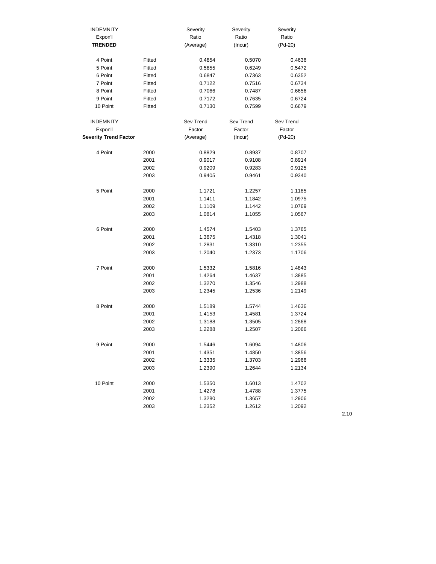| <b>INDEMNITY</b>             |        | Severity  | Severity  | Severity  |
|------------------------------|--------|-----------|-----------|-----------|
| Expon'l                      |        | Ratio     | Ratio     | Ratio     |
| <b>TRENDED</b>               |        | (Average) | (Incur)   | $(Pd-20)$ |
|                              |        |           |           |           |
| 4 Point                      | Fitted | 0.4854    | 0.5070    | 0.4636    |
| 5 Point                      | Fitted | 0.5855    | 0.6249    | 0.5472    |
| 6 Point                      | Fitted | 0.6847    | 0.7363    | 0.6352    |
| 7 Point                      | Fitted | 0.7122    | 0.7516    | 0.6734    |
| 8 Point                      | Fitted | 0.7066    | 0.7487    | 0.6656    |
| 9 Point                      | Fitted | 0.7172    | 0.7635    | 0.6724    |
| 10 Point                     | Fitted | 0.7130    | 0.7599    | 0.6679    |
|                              |        |           |           |           |
| <b>INDEMNITY</b>             |        | Sev Trend | Sev Trend | Sev Trend |
| Expon'l                      |        | Factor    | Factor    | Factor    |
| <b>Severity Trend Factor</b> |        | (Average) | (Incur)   | $(Pd-20)$ |
| 4 Point                      | 2000   | 0.8829    | 0.8937    | 0.8707    |
|                              | 2001   | 0.9017    | 0.9108    | 0.8914    |
|                              | 2002   | 0.9209    | 0.9283    | 0.9125    |
|                              | 2003   | 0.9405    | 0.9461    | 0.9340    |
|                              |        |           |           |           |
| 5 Point                      | 2000   | 1.1721    | 1.2257    | 1.1185    |
|                              | 2001   | 1.1411    | 1.1842    | 1.0975    |
|                              | 2002   | 1.1109    | 1.1442    | 1.0769    |
|                              | 2003   | 1.0814    | 1.1055    | 1.0567    |
|                              |        |           |           |           |
| 6 Point                      | 2000   | 1.4574    | 1.5403    | 1.3765    |
|                              | 2001   | 1.3675    | 1.4318    | 1.3041    |
|                              | 2002   | 1.2831    | 1.3310    | 1.2355    |
|                              | 2003   | 1.2040    | 1.2373    | 1.1706    |
|                              |        |           |           |           |
| 7 Point                      | 2000   | 1.5332    | 1.5816    | 1.4843    |
|                              | 2001   | 1.4264    | 1.4637    | 1.3885    |
|                              | 2002   | 1.3270    | 1.3546    | 1.2988    |
|                              | 2003   | 1.2345    | 1.2536    | 1.2149    |
| 8 Point                      | 2000   | 1.5189    | 1.5744    | 1.4636    |
|                              | 2001   | 1.4153    | 1.4581    | 1.3724    |
|                              | 2002   | 1.3188    | 1.3505    | 1.2868    |
|                              | 2003   | 1.2288    | 1.2507    | 1.2066    |
|                              |        |           |           |           |
| 9 Point                      | 2000   | 1.5446    | 1.6094    | 1.4806    |
|                              | 2001   | 1.4351    | 1.4850    | 1.3856    |
|                              | 2002   | 1.3335    | 1.3703    | 1.2966    |
|                              | 2003   | 1.2390    | 1.2644    | 1.2134    |
| 10 Point                     | 2000   | 1.5350    | 1.6013    | 1.4702    |
|                              | 2001   | 1.4278    | 1.4788    | 1.3775    |
|                              | 2002   | 1.3280    | 1.3657    | 1.2906    |
|                              |        | 1.2352    | 1.2612    | 1.2092    |
|                              | 2003   |           |           |           |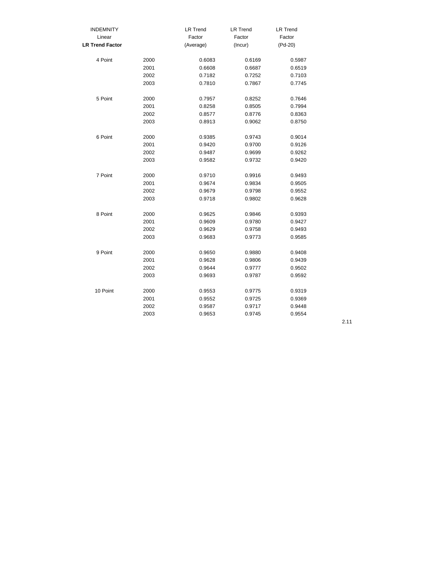| <b>INDEMNITY</b>       |      | <b>LR Trend</b> | <b>LR Trend</b> | <b>LR Trend</b> |
|------------------------|------|-----------------|-----------------|-----------------|
| Linear                 |      | Factor          | Factor          | Factor          |
| <b>LR Trend Factor</b> |      | (Average)       | (Incur)         | (Pd-20)         |
| 4 Point                | 2000 | 0.6083          | 0.6169          | 0.5987          |
|                        | 2001 | 0.6608          | 0.6687          | 0.6519          |
|                        | 2002 | 0.7182          | 0.7252          | 0.7103          |
|                        | 2003 | 0.7810          | 0.7867          | 0.7745          |
| 5 Point                | 2000 | 0.7957          | 0.8252          | 0.7646          |
|                        | 2001 | 0.8258          | 0.8505          | 0.7994          |
|                        | 2002 | 0.8577          | 0.8776          | 0.8363          |
|                        | 2003 | 0.8913          | 0.9062          | 0.8750          |
| 6 Point                | 2000 | 0.9385          | 0.9743          | 0.9014          |
|                        | 2001 | 0.9420          | 0.9700          | 0.9126          |
|                        | 2002 | 0.9487          | 0.9699          | 0.9262          |
|                        | 2003 | 0.9582          | 0.9732          | 0.9420          |
| 7 Point                | 2000 | 0.9710          | 0.9916          | 0.9493          |
|                        | 2001 | 0.9674          | 0.9834          | 0.9505          |
|                        | 2002 | 0.9679          | 0.9798          | 0.9552          |
|                        | 2003 | 0.9718          | 0.9802          | 0.9628          |
| 8 Point                | 2000 | 0.9625          | 0.9846          | 0.9393          |
|                        | 2001 | 0.9609          | 0.9780          | 0.9427          |
|                        | 2002 | 0.9629          | 0.9758          | 0.9493          |
|                        | 2003 | 0.9683          | 0.9773          | 0.9585          |
| 9 Point                | 2000 | 0.9650          | 0.9880          | 0.9408          |
|                        | 2001 | 0.9628          | 0.9806          | 0.9439          |
|                        | 2002 | 0.9644          | 0.9777          | 0.9502          |
|                        | 2003 | 0.9693          | 0.9787          | 0.9592          |
| 10 Point               | 2000 | 0.9553          | 0.9775          | 0.9319          |
|                        | 2001 | 0.9552          | 0.9725          | 0.9369          |
|                        | 2002 | 0.9587          | 0.9717          | 0.9448          |
|                        | 2003 | 0.9653          | 0.9745          | 0.9554          |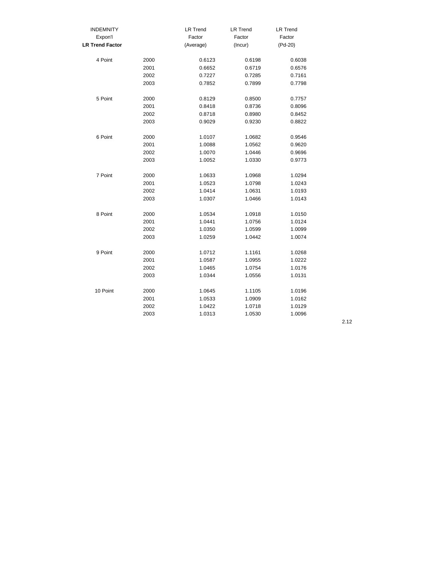| <b>INDEMNITY</b>       |      | <b>LR Trend</b> | <b>LR Trend</b> | <b>LR Trend</b> |
|------------------------|------|-----------------|-----------------|-----------------|
| Expon'l                |      | Factor          | Factor          | Factor          |
| <b>LR Trend Factor</b> |      | (Average)       | (Incur)         | (Pd-20)         |
| 4 Point                | 2000 | 0.6123          | 0.6198          | 0.6038          |
|                        | 2001 | 0.6652          | 0.6719          | 0.6576          |
|                        | 2002 | 0.7227          | 0.7285          | 0.7161          |
|                        | 2003 | 0.7852          | 0.7899          | 0.7798          |
| 5 Point                | 2000 | 0.8129          | 0.8500          | 0.7757          |
|                        | 2001 | 0.8418          | 0.8736          | 0.8096          |
|                        | 2002 | 0.8718          | 0.8980          | 0.8452          |
|                        | 2003 | 0.9029          | 0.9230          | 0.8822          |
| 6 Point                | 2000 | 1.0107          | 1.0682          | 0.9546          |
|                        | 2001 | 1.0088          | 1.0562          | 0.9620          |
|                        | 2002 | 1.0070          | 1.0446          | 0.9696          |
|                        | 2003 | 1.0052          | 1.0330          | 0.9773          |
| 7 Point                | 2000 | 1.0633          | 1.0968          | 1.0294          |
|                        | 2001 | 1.0523          | 1.0798          | 1.0243          |
|                        | 2002 | 1.0414          | 1.0631          | 1.0193          |
|                        | 2003 | 1.0307          | 1.0466          | 1.0143          |
| 8 Point                | 2000 | 1.0534          | 1.0918          | 1.0150          |
|                        | 2001 | 1.0441          | 1.0756          | 1.0124          |
|                        | 2002 | 1.0350          | 1.0599          | 1.0099          |
|                        | 2003 | 1.0259          | 1.0442          | 1.0074          |
| 9 Point                | 2000 | 1.0712          | 1.1161          | 1.0268          |
|                        | 2001 | 1.0587          | 1.0955          | 1.0222          |
|                        | 2002 | 1.0465          | 1.0754          | 1.0176          |
|                        | 2003 | 1.0344          | 1.0556          | 1.0131          |
| 10 Point               | 2000 | 1.0645          | 1.1105          | 1.0196          |
|                        | 2001 | 1.0533          | 1.0909          | 1.0162          |
|                        | 2002 | 1.0422          | 1.0718          | 1.0129          |
|                        | 2003 | 1.0313          | 1.0530          | 1.0096          |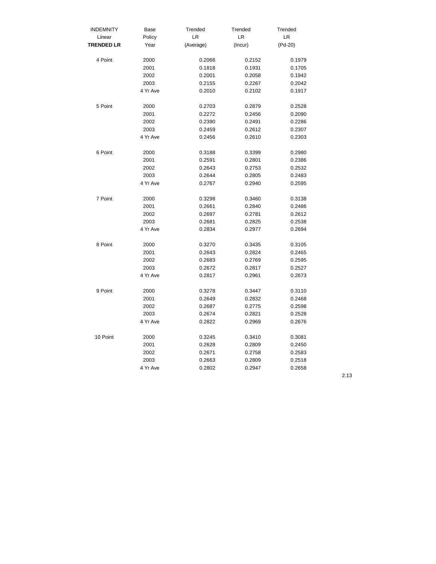| <b>INDEMNITY</b>  | Base     | Trended   | Trended | Trended |
|-------------------|----------|-----------|---------|---------|
| Linear            | Policy   | LR        | LR      | LR      |
| <b>TRENDED LR</b> | Year     | (Average) | (Incur) | (Pd-20) |
| 4 Point           | 2000     | 0.2066    | 0.2152  | 0.1979  |
|                   | 2001     | 0.1818    | 0.1931  | 0.1705  |
|                   | 2002     | 0.2001    | 0.2058  | 0.1942  |
|                   | 2003     | 0.2155    | 0.2267  | 0.2042  |
|                   | 4 Yr Ave | 0.2010    | 0.2102  | 0.1917  |
| 5 Point           | 2000     | 0.2703    | 0.2879  | 0.2528  |
|                   | 2001     | 0.2272    | 0.2456  | 0.2090  |
|                   | 2002     | 0.2390    | 0.2491  | 0.2286  |
|                   | 2003     | 0.2459    | 0.2612  | 0.2307  |
|                   | 4 Yr Ave | 0.2456    | 0.2610  | 0.2303  |
| 6 Point           | 2000     | 0.3188    | 0.3399  | 0.2980  |
|                   | 2001     | 0.2591    | 0.2801  | 0.2386  |
|                   | 2002     | 0.2643    | 0.2753  | 0.2532  |
|                   | 2003     | 0.2644    | 0.2805  | 0.2483  |
|                   | 4 Yr Ave | 0.2767    | 0.2940  | 0.2595  |
| 7 Point           | 2000     | 0.3298    | 0.3460  | 0.3138  |
|                   | 2001     | 0.2661    | 0.2840  | 0.2486  |
|                   | 2002     | 0.2697    | 0.2781  | 0.2612  |
|                   | 2003     | 0.2681    | 0.2825  | 0.2538  |
|                   | 4 Yr Ave | 0.2834    | 0.2977  | 0.2694  |
| 8 Point           | 2000     | 0.3270    | 0.3435  | 0.3105  |
|                   | 2001     | 0.2643    | 0.2824  | 0.2465  |
|                   | 2002     | 0.2683    | 0.2769  | 0.2595  |
|                   | 2003     | 0.2672    | 0.2817  | 0.2527  |
|                   | 4 Yr Ave | 0.2817    | 0.2961  | 0.2673  |
| 9 Point           | 2000     | 0.3278    | 0.3447  | 0.3110  |
|                   | 2001     | 0.2649    | 0.2832  | 0.2468  |
|                   | 2002     | 0.2687    | 0.2775  | 0.2598  |
|                   | 2003     | 0.2674    | 0.2821  | 0.2528  |
|                   | 4 Yr Ave | 0.2822    | 0.2969  | 0.2676  |
| 10 Point          | 2000     | 0.3245    | 0.3410  | 0.3081  |
|                   | 2001     | 0.2628    | 0.2809  | 0.2450  |
|                   | 2002     | 0.2671    | 0.2758  | 0.2583  |
|                   | 2003     | 0.2663    | 0.2809  | 0.2518  |
|                   | 4 Yr Ave | 0.2802    | 0.2947  | 0.2658  |
|                   |          |           |         |         |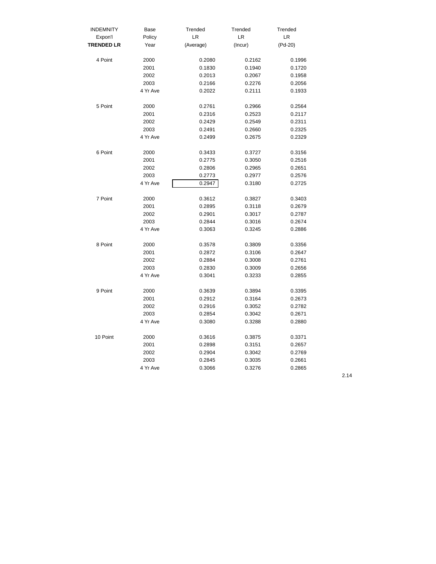| <b>INDEMNITY</b>  | Base     | Trended   | Trended | Trended |
|-------------------|----------|-----------|---------|---------|
| Expon'l           | Policy   | LR        | LR      | LR      |
| <b>TRENDED LR</b> | Year     | (Average) | (Incur) | (Pd-20) |
| 4 Point           | 2000     | 0.2080    | 0.2162  | 0.1996  |
|                   | 2001     | 0.1830    | 0.1940  | 0.1720  |
|                   | 2002     | 0.2013    | 0.2067  | 0.1958  |
|                   | 2003     | 0.2166    | 0.2276  | 0.2056  |
|                   | 4 Yr Ave | 0.2022    | 0.2111  | 0.1933  |
| 5 Point           | 2000     | 0.2761    | 0.2966  | 0.2564  |
|                   | 2001     | 0.2316    | 0.2523  | 0.2117  |
|                   | 2002     | 0.2429    | 0.2549  | 0.2311  |
|                   | 2003     | 0.2491    | 0.2660  | 0.2325  |
|                   | 4 Yr Ave | 0.2499    | 0.2675  | 0.2329  |
| 6 Point           | 2000     | 0.3433    | 0.3727  | 0.3156  |
|                   | 2001     | 0.2775    | 0.3050  | 0.2516  |
|                   | 2002     | 0.2806    | 0.2965  | 0.2651  |
|                   | 2003     | 0.2773    | 0.2977  | 0.2576  |
|                   | 4 Yr Ave | 0.2947    | 0.3180  | 0.2725  |
| 7 Point           | 2000     | 0.3612    | 0.3827  | 0.3403  |
|                   | 2001     | 0.2895    | 0.3118  | 0.2679  |
|                   | 2002     | 0.2901    | 0.3017  | 0.2787  |
|                   | 2003     | 0.2844    | 0.3016  | 0.2674  |
|                   | 4 Yr Ave | 0.3063    | 0.3245  | 0.2886  |
| 8 Point           | 2000     | 0.3578    | 0.3809  | 0.3356  |
|                   | 2001     | 0.2872    | 0.3106  | 0.2647  |
|                   | 2002     | 0.2884    | 0.3008  | 0.2761  |
|                   | 2003     | 0.2830    | 0.3009  | 0.2656  |
|                   | 4 Yr Ave | 0.3041    | 0.3233  | 0.2855  |
| 9 Point           | 2000     | 0.3639    | 0.3894  | 0.3395  |
|                   | 2001     | 0.2912    | 0.3164  | 0.2673  |
|                   | 2002     | 0.2916    | 0.3052  | 0.2782  |
|                   | 2003     | 0.2854    | 0.3042  | 0.2671  |
|                   | 4 Yr Ave | 0.3080    | 0.3288  | 0.2880  |
| 10 Point          | 2000     | 0.3616    | 0.3875  | 0.3371  |
|                   | 2001     | 0.2898    | 0.3151  | 0.2657  |
|                   | 2002     | 0.2904    | 0.3042  | 0.2769  |
|                   | 2003     | 0.2845    | 0.3035  | 0.2661  |
|                   | 4 Yr Ave | 0.3066    | 0.3276  | 0.2865  |
|                   |          |           |         |         |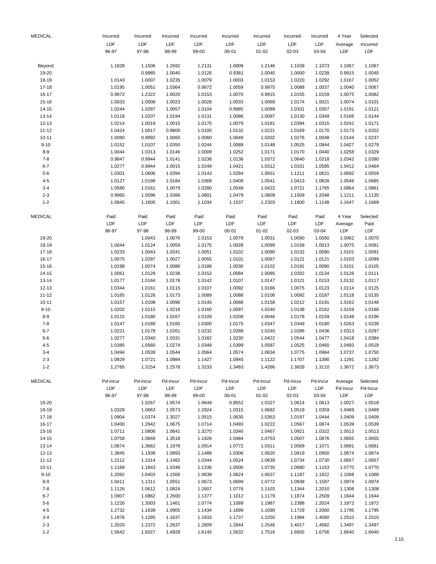| <b>MEDICAL</b> | Incurred        | Incurred | Incurred | Incurred        | Incurred        | Incurred  | Incurred | Incurred | 4 Year     | Selected |
|----------------|-----------------|----------|----------|-----------------|-----------------|-----------|----------|----------|------------|----------|
|                | LDF             | LDF      | LDF      | LDF             | LDF             | LDF       | LDF      | LDF      | Average    | Incurred |
|                | 96-97           | 97-98    | 98-99    | 99-00           | $00 - 01$       | $01 - 02$ | 02-03    | 03-04    | LDF        | LDF      |
| Beyond         | 1.1828          | 1.1506   | 1.2692   | 1.2131          | 1.0009          | 1.2146    | 1.1039   | 1.1073   | 1.1067     | 1.1067   |
| 19-20          |                 | 0.9985   | 1.0040   | 1.0126          | 0.9381          | 1.0040    | 1.0000   | 1.0239   | 0.9915     | 1.0040   |
| 18-19          | 1.0143          | 1.0007   | 1.0235   | 1.0079          | 1.0003          | 1.0153    | 1.0220   | 1.0292   | 1.0167     | 1.0052   |
| 17-18          | 1.0195          | 1.0051   | 1.0364   | 0.9872          | 1.0059          | 0.9975    | 1.0088   | 1.0037   | 1.0040     | 1.0067   |
| 16-17          | 0.9872          | 1.2322   | 1.0020   | 1.0153          | 1.0070          | 0.9915    | 1.0155   | 1.0159   | 1.0075     | 1.0082   |
| 15-16          | 1.0033          | 1.0008   | 1.0023   | 1.0028          | 1.0033          | 1.0068    | 1.0174   | 1.0021   | 1.0074     | 1.0101   |
| 14-15          | 1.0244          | 1.0287   | 1.0057   | 1.0104          | 0.9985          | 1.0089    | 1.0331   | 1.0357   | 1.0191     | 1.0121   |
| $13 - 14$      | 1.0118          | 1.0207   | 1.0194   | 1.0131          | 1.0086          | 1.0097    | 1.0130   | 1.0349   | 1.0166     | 1.0144   |
| 12-13          | 1.0214          | 1.0019   | 1.0015   | 1.0170          | 1.0079          | 1.0181    | 1.0394   | 1.0315   | 1.0242     | 1.0171   |
| $11 - 12$      | 1.0424          | 1.0017   | 0.9800   | 1.0100          | 1.0132          | 1.0221    | 1.0169   | 1.0170   | 1.0173     | 1.0202   |
| $10 - 11$      | 1.0080          | 0.9992   | 1.0060   | 1.0060          | 1.0049          | 1.0202    | 1.0276   | 1.0048   | 1.0144     | 1.0237   |
| $9 - 10$       | 1.0152          | 1.0107   | 1.0350   | 1.0244          | 1.0089          | 1.0148    | 1.0525   | 1.0944   | 1.0427     | 1.0279   |
| $8 - 9$        | 1.0044          | 1.0313   | 1.0146   | 1.0009          | 1.0252          | 1.0171    | 1.0170   | 1.0440   | 1.0258     | 1.0329   |
| $7 - 8$        | 0.9847          | 0.9944   | 1.0141   | 1.0236          | 1.0136          | 1.0372    | 1.0640   | 1.0218   | 1.0342     | 1.0390   |
| $6 - 7$        | 1.0277          | 0.9944   | 1.0015   | 1.0249          | 1.0421          | 1.0312    | 1.0331   | 1.0585   | 1.0412     | 1.0464   |
| $5 - 6$        | 1.0301          | 1.0606   | 1.0394   | 1.0143          | 1.0284          | 1.0651    | 1.1211   | 1.0621   | 1.0692     | 1.0559   |
| $4 - 5$        | 1.0127          | 1.0199   | 1.0184   | 1.0368          | 1.0408          | 1.0541    | 1.0413   | 1.0828   | 1.0548     | 1.0685   |
| $3 - 4$        | 1.0580          | 1.0161   | 1.0079   | 1.0280          | 1.0548          | 1.0422    | 1.0721   | 1.1765   | 1.0864     | 1.0861   |
| $2 - 3$        |                 |          |          |                 |                 |           |          |          |            |          |
|                | 0.9965          | 1.0096   | 1.0366   | 1.0801          | 1.0479          | 1.0809    | 1.1509   | 1.2048   | 1.1211     | 1.1135   |
| $1 - 2$        | 1.0845          | 1.1605   | 1.1001   | 1.1034          | 1.1537          | 1.2303    | 1.1600   | 1.1148   | 1.1647     | 1.1669   |
| <b>MEDICAL</b> | Paid            | Paid     | Paid     | Paid            | Paid            | Paid      | Paid     | Paid     | 4 Year     | Selected |
|                | LDF             | LDF      | LDF      | LDF             | LDF             | LDF       | LDF      | LDF      | Average    | Paid     |
|                | 96-97           | 97-98    | 98-99    | 99-00           | $00 - 01$       | $01 - 02$ | 02-03    | 03-04    | <b>LDF</b> | LDF      |
| 19-20          |                 | 1.0043   | 1.0076   | 1.0153          | 1.0078          | 1.0031    | 1.0090   | 1.0050   | 1.0062     | 1.0070   |
| 18-19          | 1.0044          | 1.0124   | 1.0059   | 1.0175          | 1.0028          | 1.0099    | 1.0158   | 1.0013   | 1.0075     | 1.0081   |
| $17 - 18$      | 1.0233          | 1.0043   | 1.0241   | 1.0051          | 1.0102          | 1.0090    | 1.0132   | 1.0080   | 1.0101     | 1.0091   |
| 16-17          | 1.0075          | 1.0297   | 1.0027   | 1.0055          | 1.0101          | 1.0067    | 1.0121   | 1.0121   | 1.0103     | 1.0099   |
| 15-16          | 1.0198          | 1.0074   | 1.0086   | 1.0188          | 1.0030          | 1.0102    | 1.0191   | 1.0080   | 1.0101     | 1.0105   |
| 14-15          | 1.0061          | 1.0128   | 1.0238   | 1.0152          | 1.0084          | 1.0085    | 1.0202   | 1.0134   | 1.0126     | 1.0111   |
| $13 - 14$      | 1.0177          | 1.0164   | 1.0178   | 1.0142          | 1.0107          | 1.0147    | 1.0121   | 1.0153   | 1.0132     | 1.0117   |
| 12-13          | 1.0344          | 1.0161   | 1.0115   | 1.0107          | 1.0092          | 1.0166    | 1.0075   | 1.0123   | 1.0114     | 1.0125   |
| $11 - 12$      | 1.0165          | 1.0126   | 1.0173   | 1.0089          | 1.0088          | 1.0106    | 1.0092   | 1.0187   | 1.0118     | 1.0135   |
| $10 - 11$      | 1.0157          | 1.0108   | 1.0096   | 1.0145          | 1.0088          | 1.0158    | 1.0212   | 1.0191   | 1.0162     | 1.0148   |
| $9 - 10$       | 1.0202          | 1.0115   | 1.0218   | 1.0160          | 1.0097          | 1.0240    | 1.0138   | 1.0162   | 1.0159     | 1.0168   |
| $8 - 9$        | 1.0115          | 1.0180   | 1.0167   | 1.0109          | 1.0208          | 1.0046    | 1.0178   | 1.0159   | 1.0148     | 1.0196   |
| $7 - 8$        | 1.0147          | 1.0189   | 1.0160   | 1.0300          | 1.0175          | 1.0347    | 1.0349   | 1.0180   | 1.0263     | 1.0238   |
| $6 - 7$        | 1.0221          | 1.0178   | 1.0261   | 1.0232          | 1.0288          | 1.0240    | 1.0286   | 1.0436   | 1.0313     | 1.0297   |
| $5-6$          | 1.0277          | 1.0340   | 1.0331   | 1.0182          | 1.0230          | 1.0422    | 1.0544   | 1.0477   | 1.0418     | 1.0384   |
| $4 - 5$        |                 |          |          |                 |                 |           |          |          |            |          |
|                | 1.0385          | 1.0560   | 1.0274   | 1.0348          | 1.0399          | 1.0587    | 1.0525   | 1.0460   | 1.0493     | 1.0518   |
| 3-4            | 1.0494          | 1.0539   | 1.0544   | 1.0564          | 1.0574          | 1.0634    | 1.0775   | 1.0964   | 1.0737     | 1.0750   |
| $2 - 3$        | 1.0829          | 1.0721   | 1.0984   | 1.1427          | 1.0945          | 1.1122    | 1.1707   | 1.1390   | 1.1291     | 1.1282   |
| $1 - 2$        | 1.2765          | 1.3154   | 1.2578   | 1.3233          | 1.3483          | 1.4266    | 1.3828   | 1.3110   | 1.3672     | 1.3673   |
| <b>MEDICAL</b> | Pd-Incur<br>LDF | Pd-Incur | Pd-Incur | Pd-Incur<br>LDF | Pd-Incur<br>LDF | Pd-Incur  | Pd-Incur | Pd-Incur | Average    | Selected |
|                |                 | LDF      | LDF      |                 |                 | LDF       | LDF      | LDF      | Pd-Incur   | Pd-Incur |
|                | 96-97           | 97-98    | 98-99    | 99-00           | $00 - 01$       | $01 - 02$ | 02-03    | 03-04    | LDF        | LDF      |
| 19-20          |                 | 1.0267   | 1.0574   | 1.0649          | 0.8552          | 1.0327    | 1.0614   | 1.0613   | 1.0027     | 1.0518   |
| 18-19          | 1.0328          | 1.0663   | 1.0573   | 1.2924          | 1.0315          | 1.0682    | 1.0519   | 1.0359   | 1.0469     | 1.0469   |
| 17-18          | 1.0904          | 1.0374   | 1.3027   | 1.0515          | 1.0630          | 1.0363    | 1.0197   | 1.0444   | 1.0409     | 1.0409   |
| 16-17          | 1.0400          | 1.2942   | 1.0675   | 1.0714          | 1.0493          | 1.0222    | 1.0567   | 1.0874   | 1.0539     | 1.0539   |
| 15-16          | 1.0711          | 1.0806   | 1.0641   | 1.3270          | 1.0340          | 1.0467    | 1.0921   | 1.0322   | 1.0513     | 1.0513   |
| 14-15          | 1.0758          | 1.0849   | 1.3518   | 1.1926          | 1.0484          | 1.0753    | 1.0507   | 1.0876   | 1.0655     | 1.0655   |
| 13-14          | 1.0674          | 1.3662   | 1.1978   | 1.0914          | 1.0772          | 1.0311    | 1.0569   | 1.1071   | 1.0681     | 1.0681   |
| 12-13          | 1.3845          | 1.1938   | 1.0893   | 1.1488          | 1.0306          | 1.0620    | 1.0819   | 1.0950   | 1.0674     | 1.0674   |
| $11 - 12$      | 1.2112          | 1.1014   | 1.1482   | 1.0344          | 1.0524          | 1.0639    | 1.0734   | 1.0730   | 1.0657     | 1.0657   |
| $10 - 11$      | 1.1168          | 1.1843   | 1.0346   | 1.1336          | 1.0500          | 1.0735    | 1.0680   | 1.1163   | 1.0770     | 1.0770   |
| $9 - 10$       | 1.2092          | 1.0403   | 1.1500   | 1.0639          | 1.0624          | 1.0637    | 1.1187   | 1.1822   | 1.1068     | 1.1068   |
| $8 - 9$        | 1.0411          | 1.1311   | 1.0551   | 1.0673          | 1.0699          | 1.0772    | 1.0838   | 1.1587   | 1.0974     | 1.0974   |
| $7 - 8$        | 1.1126          | 1.0612   | 1.0824   | 1.2607          | 1.0776          | 1.1103    | 1.1344   | 1.2010   | 1.1308     | 1.1308   |
| $6 - 7$        | 1.0907          | 1.0862   | 1.2600   | 1.1377          | 1.1012          | 1.1179    | 1.1874   | 1.2509   | 1.1644     | 1.1644   |
| $5 - 6$        | 1.1226          | 1.3003   | 1.1461   | 1.0774          | 1.1089          | 1.1987    | 1.2388   | 1.2024   | 1.1872     | 1.1872   |
| $4 - 5$        | 1.2732          | 1.1639   | 1.0905   | 1.1434          | 1.1699          | 1.1690    | 1.1729   | 1.2060   | 1.1795     | 1.1795   |
| $3 - 4$        | 1.1976          | 1.1285   | 1.1637   | 1.1833          | 1.1737          | 1.2250    | 1.1994   | 1.4060   | 1.2510     | 1.2510   |
| $2 - 3$        | 1.2020          | 1.2372   | 1.2637   | 1.2809          | 1.2844          | 1.2546    | 1.4017   | 1.4582   | 1.3497     | 1.3497   |
| $1 - 2$        | 1.5642          | 1.6027   | 1.4928   | 1.6145          | 1.5632          | 1.7516    | 1.6655   | 1.6756   | 1.6640     | 1.6640   |
|                |                 |          |          |                 |                 |           |          |          |            |          |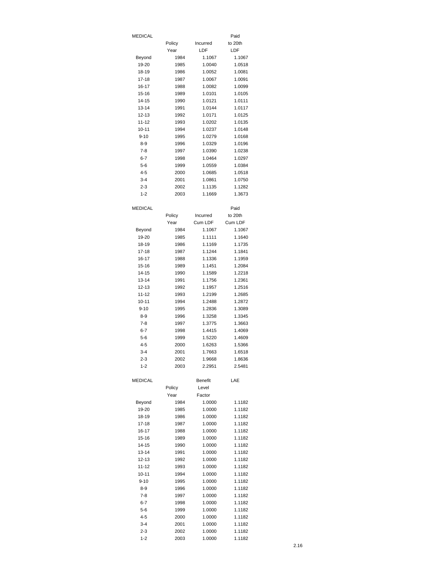| MEDICAL               |              |                  | Paid             |
|-----------------------|--------------|------------------|------------------|
|                       | Policy       | Incurred         | to 20th          |
|                       | Year         | LDF              | LDF              |
| Beyond                | 1984         | 1.1067           | 1.1067           |
| 19-20                 | 1985         | 1.0040           | 1.0518           |
| 18-19                 | 1986         | 1.0052           | 1.0081           |
| $17 - 18$             | 1987         | 1.0067           | 1.0091           |
| 16-17                 | 1988         | 1.0082           | 1.0099           |
| 15-16                 | 1989         | 1.0101           | 1.0105           |
| 14-15                 | 1990         | 1.0121           | 1.0111           |
| $13 - 14$             | 1991         | 1.0144           | 1.0117           |
| 12-13                 | 1992         | 1.0171           | 1.0125           |
| 11-12                 | 1993         | 1.0202           | 1.0135           |
| $10 - 11$<br>$9 - 10$ | 1994<br>1995 | 1.0237<br>1.0279 | 1.0148<br>1.0168 |
| 8-9                   | 1996         | 1.0329           | 1.0196           |
| 7-8                   | 1997         | 1.0390           | 1.0238           |
| 6-7                   | 1998         | 1.0464           | 1.0297           |
| 5-6                   | 1999         | 1.0559           | 1.0384           |
| 4-5                   | 2000         | 1.0685           | 1.0518           |
| $3 - 4$               | 2001         | 1.0861           | 1.0750           |
| $2 - 3$               | 2002         | 1.1135           | 1.1282           |
| $1 - 2$               | 2003         | 1.1669           | 1.3673           |
|                       |              |                  |                  |
| <b>MEDICAL</b>        |              |                  | Paid             |
|                       | Policy       | Incurred         | to 20th          |
|                       | Year         | Cum LDF          | Cum LDF          |
| Beyond                | 1984         | 1.1067           | 1.1067           |
| 19-20                 | 1985         | 1.1111           | 1.1640           |
| 18-19                 | 1986         | 1.1169           | 1.1735           |
| $17 - 18$             | 1987         | 1.1244           | 1.1841           |
| 16-17                 | 1988         | 1.1336           | 1.1959           |
| 15-16                 | 1989         | 1.1451           | 1.2084           |
| 14-15                 | 1990         | 1.1589           | 1.2218           |
| $13 - 14$             | 1991         | 1.1756           | 1.2361           |
| 12-13                 | 1992         | 1.1957           | 1.2516           |
| 11-12<br>$10 - 11$    | 1993<br>1994 | 1.2199<br>1.2488 | 1.2685<br>1.2872 |
| $9 - 10$              | 1995         | 1.2836           | 1.3089           |
| $8-9$                 | 1996         | 1.3258           | 1.3345           |
| 7-8                   | 1997         | 1.3775           | 1.3663           |
| 6-7                   | 1998         | 1.4415           | 1.4069           |
| 5-6                   | 1999         | 1.5220           | 1.4609           |
| $4 - 5$               | 2000         | 1.6263           | 1.5366           |
| $3 - 4$               | 2001         | 1.7663           | 1.6518           |
| $2 - 3$               | 2002         | 1.9668           | 1.8636           |
| $1 - 2$               | 2003         | 2.2951           | 2.5481           |
|                       |              |                  |                  |
| <b>MEDICAL</b>        |              | <b>Benefit</b>   | LAE              |
|                       | Policy       | Level            |                  |
|                       | Year         | Factor           |                  |
| Beyond                | 1984         | 1.0000           | 1.1182           |
| 19-20                 | 1985         | 1.0000           | 1.1182           |
| 18-19                 | 1986         | 1.0000           | 1.1182           |
| 17-18<br>16-17        | 1987         | 1.0000<br>1.0000 | 1.1182<br>1.1182 |
| 15-16                 | 1988<br>1989 | 1.0000           | 1.1182           |
| 14-15                 | 1990         | 1.0000           | 1.1182           |
| 13-14                 | 1991         | 1.0000           | 1.1182           |
| $12 - 13$             | 1992         | 1.0000           | 1.1182           |
| $11 - 12$             | 1993         | 1.0000           | 1.1182           |
| $10 - 11$             | 1994         | 1.0000           | 1.1182           |
| $9 - 10$              | 1995         | 1.0000           | 1.1182           |
| $8 - 9$               | 1996         | 1.0000           | 1.1182           |
| 7-8                   | 1997         | 1.0000           | 1.1182           |
| 6-7                   | 1998         | 1.0000           | 1.1182           |
| $5-6$                 | 1999         | 1.0000           | 1.1182           |
| 4-5                   | 2000         | 1.0000           | 1.1182           |
| $3 - 4$               | 2001         | 1.0000           | 1.1182           |
| $2 - 3$               | 2002         | 1.0000           | 1.1182           |
| $1 - 2$               | 2003         | 1.0000           | 1.1182           |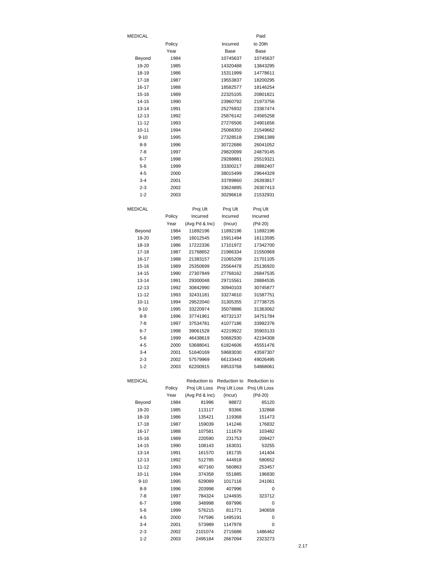| <b>MEDICAL</b><br>Paid<br>Policy<br>to 20th<br>Incurred<br>Year<br>Base<br>Base<br>10745637<br>Beyond<br>1984<br>10745637<br>19-20<br>1985<br>14320488<br>13843295<br>18-19<br>1986<br>15311999<br>14778611<br>$17 - 18$<br>1987<br>19553837<br>18200295<br>16-17<br>18582577<br>18146254<br>1988<br>22325105<br>20801821<br>15-16<br>1989<br>14-15<br>1990<br>23960792<br>21973756<br>$13 - 14$<br>1991<br>25276932<br>23367474<br>12-13<br>1992<br>25876142<br>24565258<br>$11 - 12$<br>1993<br>27276506<br>24901656<br>$10 - 11$<br>1994<br>25068350<br>21549662<br>$9 - 10$<br>1995<br>27328518<br>23961389<br>8-9<br>1996<br>30722686<br>26041052<br>7-8<br>1997<br>29820099<br>24879145<br>$6 - 7$<br>1998<br>29288881<br>25519321<br>5-6<br>1999<br>33300217<br>28882407<br>4-5<br>2000<br>38015499<br>29644329<br>$3 - 4$<br>2001<br>33789860<br>26393817<br>$2 - 3$<br>2002<br>33624895<br>26307413<br>$1 - 2$<br>2003<br>30296618<br>21532931<br><b>MEDICAL</b><br>Proj Ult<br>Proj Ult<br>Proj Ult<br>Policy<br>Incurred<br>Incurred<br>Incurred<br>(Avg Pd & Inc)<br>(Pd-20)<br>Year<br>(Incur)<br>Beyond<br>1984<br>11892196<br>11892196<br>11892196<br>19-20<br>16012545<br>15911494<br>16113595<br>1985<br>17222336<br>17101972<br>17342700<br>18-19<br>1986<br>17-18<br>1987<br>21768652<br>21986334<br>21550969<br>16-17<br>1988<br>21383157<br>21065209<br>21701105<br>15-16<br>1989<br>25350699<br>25564478<br>25136920<br>14-15<br>1990<br>27307849<br>27768162<br>26847535<br>$13 - 14$<br>1991<br>29300048<br>29715561<br>28884535<br>$12 - 13$<br>30745877<br>1992<br>30842990<br>30940103<br>$11 - 12$<br>1993<br>32431181<br>33274610<br>31587751<br>$10 - 11$<br>1994<br>29522040<br>31305355<br>27738725<br>$9 - 10$<br>1995<br>33220974<br>35078886<br>31363062<br>34751784<br>8-9<br>1996<br>37741961<br>40732137<br>$7-8$<br>1997<br>41077186<br>37534781<br>33992376<br>6-7<br>42219922<br>1998<br>39061528<br>35903133<br>5-6<br>1999<br>46438619<br>50682930<br>42194308<br>$4 - 5$<br>45551476<br>2000<br>53688041<br>61824606 |        |
|------------------------------------------------------------------------------------------------------------------------------------------------------------------------------------------------------------------------------------------------------------------------------------------------------------------------------------------------------------------------------------------------------------------------------------------------------------------------------------------------------------------------------------------------------------------------------------------------------------------------------------------------------------------------------------------------------------------------------------------------------------------------------------------------------------------------------------------------------------------------------------------------------------------------------------------------------------------------------------------------------------------------------------------------------------------------------------------------------------------------------------------------------------------------------------------------------------------------------------------------------------------------------------------------------------------------------------------------------------------------------------------------------------------------------------------------------------------------------------------------------------------------------------------------------------------------------------------------------------------------------------------------------------------------------------------------------------------------------------------------------------------------------------------------------------------------------------------------------------------------------------------------------------------------------------------------------------------------------------------------------------------------------------------------------------------|--------|
|                                                                                                                                                                                                                                                                                                                                                                                                                                                                                                                                                                                                                                                                                                                                                                                                                                                                                                                                                                                                                                                                                                                                                                                                                                                                                                                                                                                                                                                                                                                                                                                                                                                                                                                                                                                                                                                                                                                                                                                                                                                                  |        |
|                                                                                                                                                                                                                                                                                                                                                                                                                                                                                                                                                                                                                                                                                                                                                                                                                                                                                                                                                                                                                                                                                                                                                                                                                                                                                                                                                                                                                                                                                                                                                                                                                                                                                                                                                                                                                                                                                                                                                                                                                                                                  |        |
|                                                                                                                                                                                                                                                                                                                                                                                                                                                                                                                                                                                                                                                                                                                                                                                                                                                                                                                                                                                                                                                                                                                                                                                                                                                                                                                                                                                                                                                                                                                                                                                                                                                                                                                                                                                                                                                                                                                                                                                                                                                                  |        |
|                                                                                                                                                                                                                                                                                                                                                                                                                                                                                                                                                                                                                                                                                                                                                                                                                                                                                                                                                                                                                                                                                                                                                                                                                                                                                                                                                                                                                                                                                                                                                                                                                                                                                                                                                                                                                                                                                                                                                                                                                                                                  |        |
|                                                                                                                                                                                                                                                                                                                                                                                                                                                                                                                                                                                                                                                                                                                                                                                                                                                                                                                                                                                                                                                                                                                                                                                                                                                                                                                                                                                                                                                                                                                                                                                                                                                                                                                                                                                                                                                                                                                                                                                                                                                                  |        |
|                                                                                                                                                                                                                                                                                                                                                                                                                                                                                                                                                                                                                                                                                                                                                                                                                                                                                                                                                                                                                                                                                                                                                                                                                                                                                                                                                                                                                                                                                                                                                                                                                                                                                                                                                                                                                                                                                                                                                                                                                                                                  |        |
|                                                                                                                                                                                                                                                                                                                                                                                                                                                                                                                                                                                                                                                                                                                                                                                                                                                                                                                                                                                                                                                                                                                                                                                                                                                                                                                                                                                                                                                                                                                                                                                                                                                                                                                                                                                                                                                                                                                                                                                                                                                                  |        |
|                                                                                                                                                                                                                                                                                                                                                                                                                                                                                                                                                                                                                                                                                                                                                                                                                                                                                                                                                                                                                                                                                                                                                                                                                                                                                                                                                                                                                                                                                                                                                                                                                                                                                                                                                                                                                                                                                                                                                                                                                                                                  |        |
|                                                                                                                                                                                                                                                                                                                                                                                                                                                                                                                                                                                                                                                                                                                                                                                                                                                                                                                                                                                                                                                                                                                                                                                                                                                                                                                                                                                                                                                                                                                                                                                                                                                                                                                                                                                                                                                                                                                                                                                                                                                                  |        |
|                                                                                                                                                                                                                                                                                                                                                                                                                                                                                                                                                                                                                                                                                                                                                                                                                                                                                                                                                                                                                                                                                                                                                                                                                                                                                                                                                                                                                                                                                                                                                                                                                                                                                                                                                                                                                                                                                                                                                                                                                                                                  |        |
|                                                                                                                                                                                                                                                                                                                                                                                                                                                                                                                                                                                                                                                                                                                                                                                                                                                                                                                                                                                                                                                                                                                                                                                                                                                                                                                                                                                                                                                                                                                                                                                                                                                                                                                                                                                                                                                                                                                                                                                                                                                                  |        |
|                                                                                                                                                                                                                                                                                                                                                                                                                                                                                                                                                                                                                                                                                                                                                                                                                                                                                                                                                                                                                                                                                                                                                                                                                                                                                                                                                                                                                                                                                                                                                                                                                                                                                                                                                                                                                                                                                                                                                                                                                                                                  |        |
|                                                                                                                                                                                                                                                                                                                                                                                                                                                                                                                                                                                                                                                                                                                                                                                                                                                                                                                                                                                                                                                                                                                                                                                                                                                                                                                                                                                                                                                                                                                                                                                                                                                                                                                                                                                                                                                                                                                                                                                                                                                                  |        |
|                                                                                                                                                                                                                                                                                                                                                                                                                                                                                                                                                                                                                                                                                                                                                                                                                                                                                                                                                                                                                                                                                                                                                                                                                                                                                                                                                                                                                                                                                                                                                                                                                                                                                                                                                                                                                                                                                                                                                                                                                                                                  |        |
|                                                                                                                                                                                                                                                                                                                                                                                                                                                                                                                                                                                                                                                                                                                                                                                                                                                                                                                                                                                                                                                                                                                                                                                                                                                                                                                                                                                                                                                                                                                                                                                                                                                                                                                                                                                                                                                                                                                                                                                                                                                                  |        |
|                                                                                                                                                                                                                                                                                                                                                                                                                                                                                                                                                                                                                                                                                                                                                                                                                                                                                                                                                                                                                                                                                                                                                                                                                                                                                                                                                                                                                                                                                                                                                                                                                                                                                                                                                                                                                                                                                                                                                                                                                                                                  |        |
|                                                                                                                                                                                                                                                                                                                                                                                                                                                                                                                                                                                                                                                                                                                                                                                                                                                                                                                                                                                                                                                                                                                                                                                                                                                                                                                                                                                                                                                                                                                                                                                                                                                                                                                                                                                                                                                                                                                                                                                                                                                                  |        |
|                                                                                                                                                                                                                                                                                                                                                                                                                                                                                                                                                                                                                                                                                                                                                                                                                                                                                                                                                                                                                                                                                                                                                                                                                                                                                                                                                                                                                                                                                                                                                                                                                                                                                                                                                                                                                                                                                                                                                                                                                                                                  |        |
|                                                                                                                                                                                                                                                                                                                                                                                                                                                                                                                                                                                                                                                                                                                                                                                                                                                                                                                                                                                                                                                                                                                                                                                                                                                                                                                                                                                                                                                                                                                                                                                                                                                                                                                                                                                                                                                                                                                                                                                                                                                                  |        |
|                                                                                                                                                                                                                                                                                                                                                                                                                                                                                                                                                                                                                                                                                                                                                                                                                                                                                                                                                                                                                                                                                                                                                                                                                                                                                                                                                                                                                                                                                                                                                                                                                                                                                                                                                                                                                                                                                                                                                                                                                                                                  |        |
|                                                                                                                                                                                                                                                                                                                                                                                                                                                                                                                                                                                                                                                                                                                                                                                                                                                                                                                                                                                                                                                                                                                                                                                                                                                                                                                                                                                                                                                                                                                                                                                                                                                                                                                                                                                                                                                                                                                                                                                                                                                                  |        |
|                                                                                                                                                                                                                                                                                                                                                                                                                                                                                                                                                                                                                                                                                                                                                                                                                                                                                                                                                                                                                                                                                                                                                                                                                                                                                                                                                                                                                                                                                                                                                                                                                                                                                                                                                                                                                                                                                                                                                                                                                                                                  |        |
|                                                                                                                                                                                                                                                                                                                                                                                                                                                                                                                                                                                                                                                                                                                                                                                                                                                                                                                                                                                                                                                                                                                                                                                                                                                                                                                                                                                                                                                                                                                                                                                                                                                                                                                                                                                                                                                                                                                                                                                                                                                                  |        |
|                                                                                                                                                                                                                                                                                                                                                                                                                                                                                                                                                                                                                                                                                                                                                                                                                                                                                                                                                                                                                                                                                                                                                                                                                                                                                                                                                                                                                                                                                                                                                                                                                                                                                                                                                                                                                                                                                                                                                                                                                                                                  |        |
|                                                                                                                                                                                                                                                                                                                                                                                                                                                                                                                                                                                                                                                                                                                                                                                                                                                                                                                                                                                                                                                                                                                                                                                                                                                                                                                                                                                                                                                                                                                                                                                                                                                                                                                                                                                                                                                                                                                                                                                                                                                                  |        |
|                                                                                                                                                                                                                                                                                                                                                                                                                                                                                                                                                                                                                                                                                                                                                                                                                                                                                                                                                                                                                                                                                                                                                                                                                                                                                                                                                                                                                                                                                                                                                                                                                                                                                                                                                                                                                                                                                                                                                                                                                                                                  |        |
|                                                                                                                                                                                                                                                                                                                                                                                                                                                                                                                                                                                                                                                                                                                                                                                                                                                                                                                                                                                                                                                                                                                                                                                                                                                                                                                                                                                                                                                                                                                                                                                                                                                                                                                                                                                                                                                                                                                                                                                                                                                                  |        |
|                                                                                                                                                                                                                                                                                                                                                                                                                                                                                                                                                                                                                                                                                                                                                                                                                                                                                                                                                                                                                                                                                                                                                                                                                                                                                                                                                                                                                                                                                                                                                                                                                                                                                                                                                                                                                                                                                                                                                                                                                                                                  |        |
|                                                                                                                                                                                                                                                                                                                                                                                                                                                                                                                                                                                                                                                                                                                                                                                                                                                                                                                                                                                                                                                                                                                                                                                                                                                                                                                                                                                                                                                                                                                                                                                                                                                                                                                                                                                                                                                                                                                                                                                                                                                                  |        |
|                                                                                                                                                                                                                                                                                                                                                                                                                                                                                                                                                                                                                                                                                                                                                                                                                                                                                                                                                                                                                                                                                                                                                                                                                                                                                                                                                                                                                                                                                                                                                                                                                                                                                                                                                                                                                                                                                                                                                                                                                                                                  |        |
|                                                                                                                                                                                                                                                                                                                                                                                                                                                                                                                                                                                                                                                                                                                                                                                                                                                                                                                                                                                                                                                                                                                                                                                                                                                                                                                                                                                                                                                                                                                                                                                                                                                                                                                                                                                                                                                                                                                                                                                                                                                                  |        |
|                                                                                                                                                                                                                                                                                                                                                                                                                                                                                                                                                                                                                                                                                                                                                                                                                                                                                                                                                                                                                                                                                                                                                                                                                                                                                                                                                                                                                                                                                                                                                                                                                                                                                                                                                                                                                                                                                                                                                                                                                                                                  |        |
|                                                                                                                                                                                                                                                                                                                                                                                                                                                                                                                                                                                                                                                                                                                                                                                                                                                                                                                                                                                                                                                                                                                                                                                                                                                                                                                                                                                                                                                                                                                                                                                                                                                                                                                                                                                                                                                                                                                                                                                                                                                                  |        |
|                                                                                                                                                                                                                                                                                                                                                                                                                                                                                                                                                                                                                                                                                                                                                                                                                                                                                                                                                                                                                                                                                                                                                                                                                                                                                                                                                                                                                                                                                                                                                                                                                                                                                                                                                                                                                                                                                                                                                                                                                                                                  |        |
|                                                                                                                                                                                                                                                                                                                                                                                                                                                                                                                                                                                                                                                                                                                                                                                                                                                                                                                                                                                                                                                                                                                                                                                                                                                                                                                                                                                                                                                                                                                                                                                                                                                                                                                                                                                                                                                                                                                                                                                                                                                                  |        |
|                                                                                                                                                                                                                                                                                                                                                                                                                                                                                                                                                                                                                                                                                                                                                                                                                                                                                                                                                                                                                                                                                                                                                                                                                                                                                                                                                                                                                                                                                                                                                                                                                                                                                                                                                                                                                                                                                                                                                                                                                                                                  |        |
|                                                                                                                                                                                                                                                                                                                                                                                                                                                                                                                                                                                                                                                                                                                                                                                                                                                                                                                                                                                                                                                                                                                                                                                                                                                                                                                                                                                                                                                                                                                                                                                                                                                                                                                                                                                                                                                                                                                                                                                                                                                                  |        |
|                                                                                                                                                                                                                                                                                                                                                                                                                                                                                                                                                                                                                                                                                                                                                                                                                                                                                                                                                                                                                                                                                                                                                                                                                                                                                                                                                                                                                                                                                                                                                                                                                                                                                                                                                                                                                                                                                                                                                                                                                                                                  |        |
|                                                                                                                                                                                                                                                                                                                                                                                                                                                                                                                                                                                                                                                                                                                                                                                                                                                                                                                                                                                                                                                                                                                                                                                                                                                                                                                                                                                                                                                                                                                                                                                                                                                                                                                                                                                                                                                                                                                                                                                                                                                                  |        |
| $3 - 4$<br>2001<br>51640169<br>59683030<br>43597307                                                                                                                                                                                                                                                                                                                                                                                                                                                                                                                                                                                                                                                                                                                                                                                                                                                                                                                                                                                                                                                                                                                                                                                                                                                                                                                                                                                                                                                                                                                                                                                                                                                                                                                                                                                                                                                                                                                                                                                                              |        |
| $2 - 3$<br>2002<br>66133443<br>49026495<br>57579969                                                                                                                                                                                                                                                                                                                                                                                                                                                                                                                                                                                                                                                                                                                                                                                                                                                                                                                                                                                                                                                                                                                                                                                                                                                                                                                                                                                                                                                                                                                                                                                                                                                                                                                                                                                                                                                                                                                                                                                                              |        |
| $1 - 2$<br>2003<br>62200915<br>69533768<br>54868061                                                                                                                                                                                                                                                                                                                                                                                                                                                                                                                                                                                                                                                                                                                                                                                                                                                                                                                                                                                                                                                                                                                                                                                                                                                                                                                                                                                                                                                                                                                                                                                                                                                                                                                                                                                                                                                                                                                                                                                                              |        |
|                                                                                                                                                                                                                                                                                                                                                                                                                                                                                                                                                                                                                                                                                                                                                                                                                                                                                                                                                                                                                                                                                                                                                                                                                                                                                                                                                                                                                                                                                                                                                                                                                                                                                                                                                                                                                                                                                                                                                                                                                                                                  |        |
| <b>MEDICAL</b><br>Reduction to<br>Reduction to<br>Reduction to<br>Policy<br>Proj Ult Loss                                                                                                                                                                                                                                                                                                                                                                                                                                                                                                                                                                                                                                                                                                                                                                                                                                                                                                                                                                                                                                                                                                                                                                                                                                                                                                                                                                                                                                                                                                                                                                                                                                                                                                                                                                                                                                                                                                                                                                        |        |
| Proj Ult Loss<br>Proj Ult Loss<br>(Avg Pd & Inc)<br>Year<br>(Incur)<br>(Pd-20)                                                                                                                                                                                                                                                                                                                                                                                                                                                                                                                                                                                                                                                                                                                                                                                                                                                                                                                                                                                                                                                                                                                                                                                                                                                                                                                                                                                                                                                                                                                                                                                                                                                                                                                                                                                                                                                                                                                                                                                   |        |
| Beyond<br>1984<br>81996<br>98872<br>65120                                                                                                                                                                                                                                                                                                                                                                                                                                                                                                                                                                                                                                                                                                                                                                                                                                                                                                                                                                                                                                                                                                                                                                                                                                                                                                                                                                                                                                                                                                                                                                                                                                                                                                                                                                                                                                                                                                                                                                                                                        |        |
| 19-20<br>1985<br>113117<br>93366<br>132868                                                                                                                                                                                                                                                                                                                                                                                                                                                                                                                                                                                                                                                                                                                                                                                                                                                                                                                                                                                                                                                                                                                                                                                                                                                                                                                                                                                                                                                                                                                                                                                                                                                                                                                                                                                                                                                                                                                                                                                                                       |        |
| 18-19<br>1986<br>135421<br>119368<br>151473                                                                                                                                                                                                                                                                                                                                                                                                                                                                                                                                                                                                                                                                                                                                                                                                                                                                                                                                                                                                                                                                                                                                                                                                                                                                                                                                                                                                                                                                                                                                                                                                                                                                                                                                                                                                                                                                                                                                                                                                                      |        |
| $17 - 18$<br>1987<br>159039<br>141246<br>176832                                                                                                                                                                                                                                                                                                                                                                                                                                                                                                                                                                                                                                                                                                                                                                                                                                                                                                                                                                                                                                                                                                                                                                                                                                                                                                                                                                                                                                                                                                                                                                                                                                                                                                                                                                                                                                                                                                                                                                                                                  |        |
| $16 - 17$<br>1988<br>107581<br>111679<br>103482                                                                                                                                                                                                                                                                                                                                                                                                                                                                                                                                                                                                                                                                                                                                                                                                                                                                                                                                                                                                                                                                                                                                                                                                                                                                                                                                                                                                                                                                                                                                                                                                                                                                                                                                                                                                                                                                                                                                                                                                                  |        |
| $15 - 16$<br>220590<br>209427<br>1989<br>231753                                                                                                                                                                                                                                                                                                                                                                                                                                                                                                                                                                                                                                                                                                                                                                                                                                                                                                                                                                                                                                                                                                                                                                                                                                                                                                                                                                                                                                                                                                                                                                                                                                                                                                                                                                                                                                                                                                                                                                                                                  |        |
| 14-15<br>1990<br>108143<br>163031<br>53255                                                                                                                                                                                                                                                                                                                                                                                                                                                                                                                                                                                                                                                                                                                                                                                                                                                                                                                                                                                                                                                                                                                                                                                                                                                                                                                                                                                                                                                                                                                                                                                                                                                                                                                                                                                                                                                                                                                                                                                                                       |        |
| $13 - 14$<br>1991<br>161570<br>181735<br>$12 - 13$<br>1992<br>512785<br>444918<br>580652                                                                                                                                                                                                                                                                                                                                                                                                                                                                                                                                                                                                                                                                                                                                                                                                                                                                                                                                                                                                                                                                                                                                                                                                                                                                                                                                                                                                                                                                                                                                                                                                                                                                                                                                                                                                                                                                                                                                                                         |        |
| $11 - 12$<br>1993<br>407160<br>560863<br>253457                                                                                                                                                                                                                                                                                                                                                                                                                                                                                                                                                                                                                                                                                                                                                                                                                                                                                                                                                                                                                                                                                                                                                                                                                                                                                                                                                                                                                                                                                                                                                                                                                                                                                                                                                                                                                                                                                                                                                                                                                  | 141404 |
| $10 - 11$<br>1994<br>374358<br>551885<br>196830                                                                                                                                                                                                                                                                                                                                                                                                                                                                                                                                                                                                                                                                                                                                                                                                                                                                                                                                                                                                                                                                                                                                                                                                                                                                                                                                                                                                                                                                                                                                                                                                                                                                                                                                                                                                                                                                                                                                                                                                                  |        |
| $9 - 10$<br>1995<br>629089<br>1017116<br>241061                                                                                                                                                                                                                                                                                                                                                                                                                                                                                                                                                                                                                                                                                                                                                                                                                                                                                                                                                                                                                                                                                                                                                                                                                                                                                                                                                                                                                                                                                                                                                                                                                                                                                                                                                                                                                                                                                                                                                                                                                  |        |
| $8 - 9$<br>1996<br>203998<br>407996                                                                                                                                                                                                                                                                                                                                                                                                                                                                                                                                                                                                                                                                                                                                                                                                                                                                                                                                                                                                                                                                                                                                                                                                                                                                                                                                                                                                                                                                                                                                                                                                                                                                                                                                                                                                                                                                                                                                                                                                                              |        |
|                                                                                                                                                                                                                                                                                                                                                                                                                                                                                                                                                                                                                                                                                                                                                                                                                                                                                                                                                                                                                                                                                                                                                                                                                                                                                                                                                                                                                                                                                                                                                                                                                                                                                                                                                                                                                                                                                                                                                                                                                                                                  | 0      |
| $7-8$<br>1997<br>784324<br>323712<br>1244935                                                                                                                                                                                                                                                                                                                                                                                                                                                                                                                                                                                                                                                                                                                                                                                                                                                                                                                                                                                                                                                                                                                                                                                                                                                                                                                                                                                                                                                                                                                                                                                                                                                                                                                                                                                                                                                                                                                                                                                                                     |        |
| $6 - 7$<br>1998<br>348998<br>697996                                                                                                                                                                                                                                                                                                                                                                                                                                                                                                                                                                                                                                                                                                                                                                                                                                                                                                                                                                                                                                                                                                                                                                                                                                                                                                                                                                                                                                                                                                                                                                                                                                                                                                                                                                                                                                                                                                                                                                                                                              | 0      |
| $5 - 6$<br>1999<br>576215<br>811771<br>340659                                                                                                                                                                                                                                                                                                                                                                                                                                                                                                                                                                                                                                                                                                                                                                                                                                                                                                                                                                                                                                                                                                                                                                                                                                                                                                                                                                                                                                                                                                                                                                                                                                                                                                                                                                                                                                                                                                                                                                                                                    |        |
| $4 - 5$<br>2000<br>747596<br>1495191                                                                                                                                                                                                                                                                                                                                                                                                                                                                                                                                                                                                                                                                                                                                                                                                                                                                                                                                                                                                                                                                                                                                                                                                                                                                                                                                                                                                                                                                                                                                                                                                                                                                                                                                                                                                                                                                                                                                                                                                                             | 0      |
| $3 - 4$<br>2001<br>573989<br>1147978<br>$2 - 3$<br>2002<br>2101074<br>1486462<br>2715686                                                                                                                                                                                                                                                                                                                                                                                                                                                                                                                                                                                                                                                                                                                                                                                                                                                                                                                                                                                                                                                                                                                                                                                                                                                                                                                                                                                                                                                                                                                                                                                                                                                                                                                                                                                                                                                                                                                                                                         | 0      |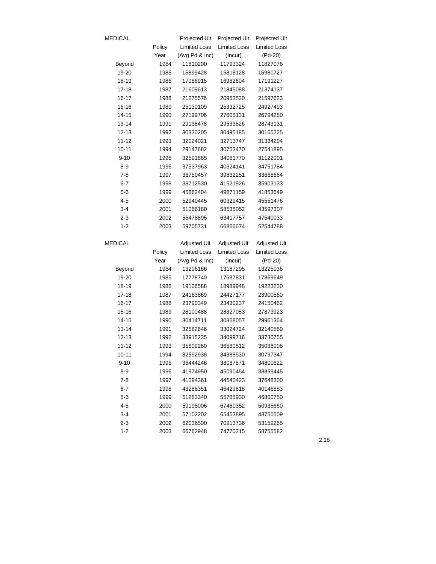| MEDICAL            |        | Projected Ult        | Projected Ult       | Projected Ult       |
|--------------------|--------|----------------------|---------------------|---------------------|
|                    | Policy | <b>Limited Loss</b>  | <b>Limited Loss</b> | <b>Limited Loss</b> |
|                    | Year   | (Avg Pd & Inc)       | (Incur)             | (Pd-20)             |
| Beyond             | 1984   | 11810200             | 11793324            | 11827076            |
| 19-20              | 1985   | 15899428             | 15818128            | 15980727            |
| 18-19              | 1986   | 17086915             | 16982604            | 17191227            |
| 17-18              | 1987   | 21609613             | 21845088            | 21374137            |
| 16-17              | 1988   | 21275576             | 20953530            | 21597623            |
| 15-16              | 1989   | 25130109             | 25332725            | 24927493            |
| $14 - 15$          | 1990   | 27199706             | 27605131            | 26794280            |
| 13-14              | 1991   | 29138478             | 29533826            | 28743131            |
| 12-13              | 1992   | 30330205             | 30495185            | 30165225            |
| 11-12              | 1993   | 32024021             | 32713747            | 31334294            |
| $10 - 11$          | 1994   | 29147682             | 30753470            | 27541895            |
| $9 - 10$           | 1995   | 32591885             | 34061770            | 31122001            |
| $8 - 9$            | 1996   | 37537963             | 40324141            | 34751784            |
| $7-8$              | 1997   | 36750457             | 39832251            | 33668664            |
| $6 - 7$            | 1998   | 38712530             | 41521926            | 35903133            |
| $5 - 6$            | 1999   | 45862404             | 49871159            | 41853649            |
| $4 - 5$            | 2000   | 52940445             | 60329415            | 45551476            |
| $3 - 4$            | 2001   | 51066180             | 58535052            | 43597307            |
| $2 - 3$            | 2002   | 55478895             | 63417757            | 47540033            |
| $1 - 2$            | 2003   | 59705731             | 66866674            | 52544788            |
| MEDICAL            |        | Adjusted Ult         | <b>Adjusted Ult</b> | <b>Adjusted Ult</b> |
|                    | Policy | <b>Limited Loss</b>  | <b>Limited Loss</b> | <b>Limited Loss</b> |
|                    | Year   | (Avg Pd & Inc)       | (Incur)             | (Pd-20)             |
| Beyond             | 1984   | 13206166             | 13187295            | 13225036            |
| 19-20              | 1985   | 17778740             | 17687831            | 17869649            |
| 18-19              | 1986   | 19106588             | 18989948            | 19223230            |
| 17-18              | 1987   | 24163869             | 24427177            | 23900560            |
| 16-17              | 1988   | 23790349             | 23430237            | 24150462            |
| 15-16              | 1989   | 28100488             | 28327053            | 27873923            |
| 14-15              | 1990   | 30414711             | 30868057            | 29961364            |
| 13-14              | 1991   | 32582646             | 33024724            | 32140569            |
| 12-13              | 1992   | 33915235             | 34099716            | 33730755            |
| 11-12              | 1993   | 35809260             | 36580512            | 35038008            |
| $10 - 11$          | 1994   | 32592938             | 34388530            | 30797347            |
| $9 - 10$           | 1995   | 36444246             | 38087871            | 34800622            |
| $8 - 9$            | 1996   | 41974950             | 45090454            | 38859445            |
| $7-8$              | 1997   | 41094361             | 44540423            | 37648300            |
| $6 - 7$            |        |                      |                     |                     |
|                    | 1998   | 43288351             | 46429818            | 40146883            |
| 5-6                | 1999   | 51283340             | 55765930            | 46800750            |
| $4 - 5$            | 2000   | 59198006             | 67460352            | 50935660            |
| $3 - 4$            | 2001   | 57102202             | 65453895            | 48750509            |
| $2 - 3$<br>$1 - 2$ | 2002   | 62036500<br>66762948 | 70913736            | 53159265            |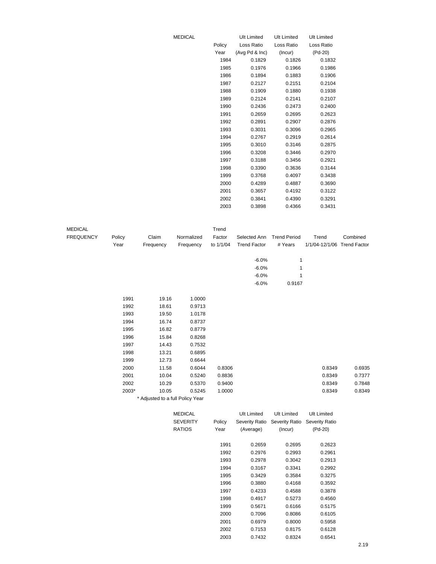|        | <b>Ult Limited</b> | <b>Ult Limited</b> | <b>Ult Limited</b> |
|--------|--------------------|--------------------|--------------------|
| Policy | Loss Ratio         | Loss Ratio         | Loss Ratio         |
| Year   | (Avg Pd & Inc)     | (Incur)            | (Pd-20)            |
| 1984   | 0.1829             | 0.1826             | 0.1832             |
| 1985   | 0.1976             | 0.1966             | 0.1986             |
| 1986   | 0.1894             | 0.1883             | 0.1906             |
| 1987   | 0.2127             | 0.2151             | 0.2104             |
| 1988   | 0.1909             | 0.1880             | 0.1938             |
| 1989   | 0.2124             | 0.2141             | 0.2107             |
| 1990   | 0.2436             | 0.2473             | 0.2400             |
| 1991   | 0.2659             | 0.2695             | 0.2623             |
| 1992   | 0.2891             | 0.2907             | 0.2876             |
| 1993   | 0.3031             | 0.3096             | 0.2965             |
| 1994   | 0.2767             | 0.2919             | 0.2614             |
| 1995   | 0.3010             | 0.3146             | 0.2875             |
| 1996   | 0.3208             | 0.3446             | 0.2970             |
| 1997   | 0.3188             | 0.3456             | 0.2921             |
| 1998   | 0.3390             | 0.3636             | 0.3144             |
| 1999   | 0.3768             | 0.4097             | 0.3438             |
| 2000   | 0.4289             | 0.4887             | 0.3690             |
| 2001   | 0.3657             | 0.4192             | 0.3122             |
| 2002   | 0.3841             | 0.4390             | 0.3291             |
| 2003   | 0.3898             | 0.4366             | 0.3431             |

1995 0.3429 0.3584 0.3275 1996 0.3880 0.4168 0.3592 1997 0.4233 0.4588 0.3878 1998 0.4917 0.5273 0.4560 1999 0.5671 0.6166 0.5175 2000 0.7096 0.8086 0.6105 2001 0.6979 0.8000 0.5958 2002 0.7153 0.8175 0.6128 2003 0.7432 0.8324 0.6541

| <b>MEDICAL</b>   |        |                                  |                 | Trend     |                     |                               |                             |          |
|------------------|--------|----------------------------------|-----------------|-----------|---------------------|-------------------------------|-----------------------------|----------|
| <b>FREQUENCY</b> | Policy | Claim                            | Normalized      | Factor    | Selected Ann        | <b>Trend Period</b>           | Trend                       | Combined |
|                  | Year   | Frequency                        | Frequency       | to 1/1/04 | <b>Trend Factor</b> | # Years                       | 1/1/04-12/1/06 Trend Factor |          |
|                  |        |                                  |                 |           |                     |                               |                             |          |
|                  |        |                                  |                 |           | $-6.0%$             | 1                             |                             |          |
|                  |        |                                  |                 |           | $-6.0%$             | 1                             |                             |          |
|                  |        |                                  |                 |           | $-6.0%$             | 1                             |                             |          |
|                  |        |                                  |                 |           | $-6.0%$             | 0.9167                        |                             |          |
|                  | 1991   | 19.16                            | 1.0000          |           |                     |                               |                             |          |
|                  | 1992   | 18.61                            | 0.9713          |           |                     |                               |                             |          |
|                  | 1993   | 19.50                            | 1.0178          |           |                     |                               |                             |          |
|                  | 1994   | 16.74                            | 0.8737          |           |                     |                               |                             |          |
|                  | 1995   | 16.82                            | 0.8779          |           |                     |                               |                             |          |
|                  | 1996   | 15.84                            | 0.8268          |           |                     |                               |                             |          |
|                  | 1997   | 14.43                            | 0.7532          |           |                     |                               |                             |          |
|                  | 1998   | 13.21                            | 0.6895          |           |                     |                               |                             |          |
|                  | 1999   | 12.73                            | 0.6644          |           |                     |                               |                             |          |
|                  | 2000   | 11.58                            | 0.6044          | 0.8306    |                     |                               | 0.8349                      | 0.6935   |
|                  | 2001   | 10.04                            | 0.5240          | 0.8836    |                     |                               | 0.8349                      | 0.7377   |
|                  | 2002   | 10.29                            | 0.5370          | 0.9400    |                     |                               | 0.8349                      | 0.7848   |
|                  | 2003*  | 10.05                            | 0.5245          | 1.0000    |                     |                               | 0.8349                      | 0.8349   |
|                  |        | * Adjusted to a full Policy Year |                 |           |                     |                               |                             |          |
|                  |        |                                  | <b>MEDICAL</b>  |           | <b>Ult Limited</b>  | <b>Ult Limited</b>            | <b>Ult Limited</b>          |          |
|                  |        |                                  | <b>SEVERITY</b> | Policy    |                     | Severity Ratio Severity Ratio | <b>Severity Ratio</b>       |          |
|                  |        |                                  | <b>RATIOS</b>   | Year      | (Average)           | (Incur)                       | $(Pd-20)$                   |          |
|                  |        |                                  |                 | 1991      | 0.2659              | 0.2695                        | 0.2623                      |          |
|                  |        |                                  |                 | 1992      | 0.2976              | 0.2993                        | 0.2961                      |          |
|                  |        |                                  |                 | 1993      | 0.2978              | 0.3042                        | 0.2913                      |          |
|                  |        |                                  |                 | 1994      | 0.3167              | 0.3341                        | 0.2992                      |          |

**MEDICAL**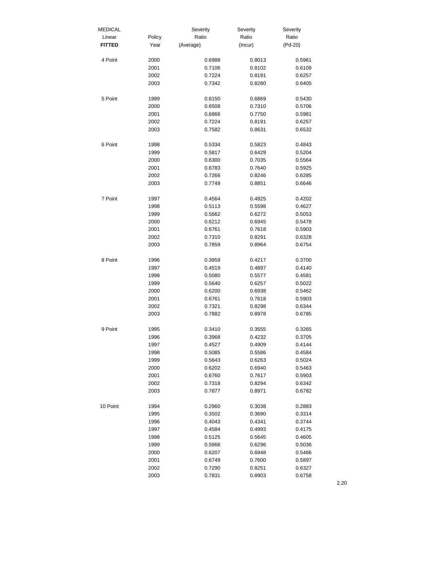| <b>MEDICAL</b> |        | Severity  | Severity | Severity  |
|----------------|--------|-----------|----------|-----------|
| Linear         | Policy | Ratio     | Ratio    | Ratio     |
| <b>FITTED</b>  | Year   | (Average) | (Incur)  | $(Pd-20)$ |
|                |        |           |          |           |
| 4 Point        | 2000   | 0.6988    | 0.8013   | 0.5961    |
|                | 2001   | 0.7106    | 0.8102   | 0.6109    |
|                | 2002   | 0.7224    | 0.8191   | 0.6257    |
|                | 2003   | 0.7342    | 0.8280   | 0.6405    |
|                |        |           |          |           |
| 5 Point        | 1999   | 0.6150    | 0.6869   | 0.5430    |
|                | 2000   | 0.6508    | 0.7310   | 0.5706    |
|                | 2001   | 0.6866    | 0.7750   | 0.5981    |
|                | 2002   | 0.7224    | 0.8191   | 0.6257    |
|                | 2003   | 0.7582    | 0.8631   | 0.6532    |
|                |        |           |          |           |
| 6 Point        | 1998   | 0.5334    | 0.5823   | 0.4843    |
|                | 1999   | 0.5817    | 0.6429   | 0.5204    |
|                | 2000   | 0.6300    | 0.7035   | 0.5564    |
|                | 2001   | 0.6783    | 0.7640   | 0.5925    |
|                | 2002   | 0.7266    | 0.8246   | 0.6285    |
|                | 2003   | 0.7749    | 0.8851   | 0.6646    |
|                |        |           |          |           |
| 7 Point        | 1997   | 0.4564    | 0.4925   | 0.4202    |
|                | 1998   | 0.5113    | 0.5598   | 0.4627    |
|                | 1999   | 0.5662    | 0.6272   | 0.5053    |
|                | 2000   | 0.6212    | 0.6945   | 0.5478    |
|                | 2001   | 0.6761    | 0.7618   | 0.5903    |
|                | 2002   | 0.7310    | 0.8291   | 0.6328    |
|                | 2003   | 0.7859    | 0.8964   | 0.6754    |
|                |        |           |          |           |
| 8 Point        | 1996   | 0.3959    | 0.4217   | 0.3700    |
|                | 1997   | 0.4519    | 0.4897   | 0.4140    |
|                | 1998   | 0.5080    | 0.5577   | 0.4581    |
|                | 1999   | 0.5640    | 0.6257   | 0.5022    |
|                | 2000   | 0.6200    | 0.6938   | 0.5462    |
|                | 2001   | 0.6761    | 0.7618   | 0.5903    |
|                | 2002   | 0.7321    | 0.8298   | 0.6344    |
|                | 2003   | 0.7882    | 0.8978   | 0.6785    |
|                |        |           |          |           |
| 9 Point        | 1995   | 0.3410    | 0.3555   | 0.3265    |
|                | 1996   | 0.3968    | 0.4232   | 0.3705    |
|                | 1997   | 0.4527    | 0.4909   | 0.4144    |
|                | 1998   | 0.5085    | 0.5586   | 0.4584    |
|                | 1999   | 0.5643    | 0.6263   | 0.5024    |
|                | 2000   | 0.6202    | 0.6940   | 0.5463    |
|                | 2001   | 0.6760    | 0.7617   | 0.5903    |
|                | 2002   | 0.7318    | 0.8294   | 0.6342    |
|                | 2003   | 0.7877    | 0.8971   | 0.6782    |
|                |        |           |          |           |
| 10 Point       | 1994   | 0.2960    | 0.3038   | 0.2883    |
|                | 1995   | 0.3502    | 0.3690   | 0.3314    |
|                | 1996   | 0.4043    | 0.4341   | 0.3744    |
|                | 1997   | 0.4584    | 0.4993   | 0.4175    |
|                | 1998   | 0.5125    | 0.5645   | 0.4605    |
|                | 1999   | 0.5666    | 0.6296   | 0.5036    |
|                | 2000   | 0.6207    | 0.6948   | 0.5466    |
|                | 2001   | 0.6749    | 0.7600   | 0.5897    |
|                | 2002   | 0.7290    | 0.8251   | 0.6327    |
|                | 2003   | 0.7831    | 0.8903   | 0.6758    |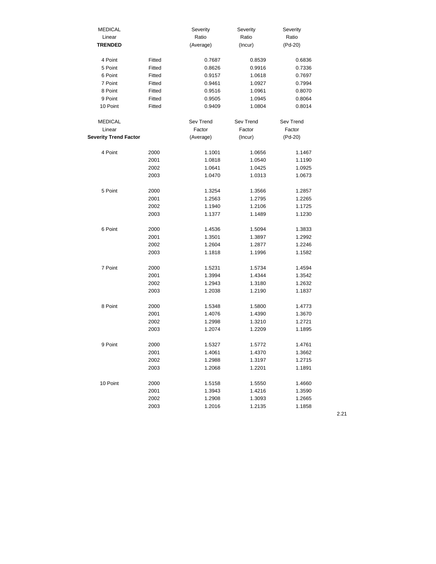| <b>MEDICAL</b>               |        | Severity  | Severity  | Severity  |
|------------------------------|--------|-----------|-----------|-----------|
| Linear                       |        | Ratio     | Ratio     | Ratio     |
| <b>TRENDED</b>               |        | (Average) | (Incur)   | $(Pd-20)$ |
|                              |        |           |           |           |
| 4 Point                      | Fitted | 0.7687    | 0.8539    | 0.6836    |
| 5 Point                      | Fitted | 0.8626    | 0.9916    | 0.7336    |
| 6 Point                      | Fitted | 0.9157    | 1.0618    | 0.7697    |
| 7 Point                      | Fitted | 0.9461    | 1.0927    | 0.7994    |
| 8 Point                      | Fitted | 0.9516    | 1.0961    | 0.8070    |
| 9 Point                      | Fitted | 0.9505    | 1.0945    | 0.8064    |
| 10 Point                     | Fitted | 0.9409    | 1.0804    | 0.8014    |
| <b>MEDICAL</b>               |        | Sev Trend | Sev Trend | Sev Trend |
| Linear                       |        | Factor    | Factor    | Factor    |
| <b>Severity Trend Factor</b> |        | (Average) | (Incur)   | $(Pd-20)$ |
|                              |        |           |           |           |
| 4 Point                      | 2000   | 1.1001    | 1.0656    | 1.1467    |
|                              | 2001   | 1.0818    | 1.0540    | 1.1190    |
|                              | 2002   | 1.0641    | 1.0425    | 1.0925    |
|                              | 2003   | 1.0470    | 1.0313    | 1.0673    |
| 5 Point                      | 2000   | 1.3254    | 1.3566    | 1.2857    |
|                              | 2001   | 1.2563    | 1.2795    | 1.2265    |
|                              |        |           |           |           |
|                              | 2002   | 1.1940    | 1.2106    | 1.1725    |
|                              | 2003   | 1.1377    | 1.1489    | 1.1230    |
| 6 Point                      | 2000   | 1.4536    | 1.5094    | 1.3833    |
|                              | 2001   | 1.3501    | 1.3897    | 1.2992    |
|                              | 2002   | 1.2604    | 1.2877    | 1.2246    |
|                              | 2003   | 1.1818    | 1.1996    | 1.1582    |
|                              |        |           |           |           |
| 7 Point                      | 2000   | 1.5231    | 1.5734    | 1.4594    |
|                              | 2001   | 1.3994    | 1.4344    | 1.3542    |
|                              | 2002   | 1.2943    | 1.3180    | 1.2632    |
|                              | 2003   | 1.2038    | 1.2190    | 1.1837    |
| 8 Point                      | 2000   | 1.5348    | 1.5800    | 1.4773    |
|                              | 2001   | 1.4076    | 1.4390    | 1.3670    |
|                              | 2002   | 1.2998    | 1.3210    | 1.2721    |
|                              | 2003   | 1.2074    | 1.2209    | 1.1895    |
|                              |        |           |           |           |
| 9 Point                      | 2000   | 1.5327    | 1.5772    | 1.4761    |
|                              | 2001   | 1.4061    | 1.4370    | 1.3662    |
|                              | 2002   | 1.2988    | 1.3197    | 1.2715    |
|                              | 2003   | 1.2068    | 1.2201    | 1.1891    |
| 10 Point                     | 2000   | 1.5158    | 1.5550    | 1.4660    |
|                              | 2001   | 1.3943    | 1.4216    | 1.3590    |
|                              | 2002   | 1.2908    | 1.3093    | 1.2665    |
|                              | 2003   | 1.2016    | 1.2135    | 1.1858    |
|                              |        |           |           |           |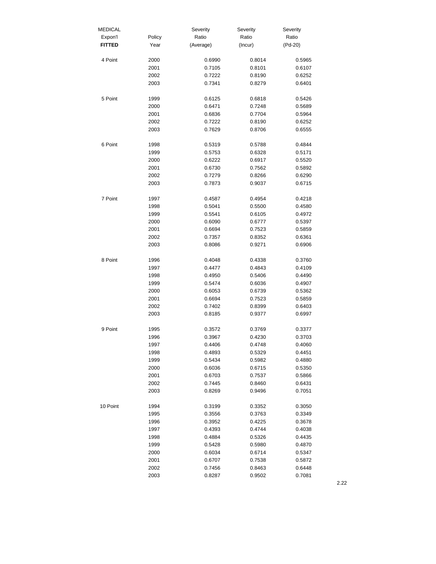| <b>MEDICAL</b> |        | Severity  | Severity | Severity |
|----------------|--------|-----------|----------|----------|
| Expon'l        | Policy | Ratio     | Ratio    | Ratio    |
| <b>FITTED</b>  | Year   | (Average) | (Incur)  | (Pd-20)  |
| 4 Point        | 2000   | 0.6990    | 0.8014   | 0.5965   |
|                | 2001   | 0.7105    | 0.8101   | 0.6107   |
|                | 2002   | 0.7222    | 0.8190   | 0.6252   |
|                | 2003   | 0.7341    | 0.8279   | 0.6401   |
| 5 Point        | 1999   | 0.6125    | 0.6818   | 0.5426   |
|                | 2000   | 0.6471    | 0.7248   | 0.5689   |
|                | 2001   | 0.6836    | 0.7704   | 0.5964   |
|                | 2002   | 0.7222    | 0.8190   | 0.6252   |
|                | 2003   | 0.7629    | 0.8706   | 0.6555   |
| 6 Point        | 1998   | 0.5319    | 0.5788   | 0.4844   |
|                | 1999   | 0.5753    | 0.6328   | 0.5171   |
|                | 2000   | 0.6222    | 0.6917   | 0.5520   |
|                | 2001   | 0.6730    | 0.7562   | 0.5892   |
|                | 2002   | 0.7279    | 0.8266   | 0.6290   |
|                | 2003   | 0.7873    | 0.9037   | 0.6715   |
| 7 Point        | 1997   | 0.4587    | 0.4954   | 0.4218   |
|                | 1998   | 0.5041    | 0.5500   | 0.4580   |
|                | 1999   | 0.5541    | 0.6105   | 0.4972   |
|                | 2000   | 0.6090    | 0.6777   | 0.5397   |
|                | 2001   | 0.6694    | 0.7523   | 0.5859   |
|                | 2002   | 0.7357    | 0.8352   | 0.6361   |
|                | 2003   | 0.8086    | 0.9271   | 0.6906   |
| 8 Point        | 1996   | 0.4048    | 0.4338   | 0.3760   |
|                | 1997   | 0.4477    | 0.4843   | 0.4109   |
|                | 1998   | 0.4950    | 0.5406   | 0.4490   |
|                | 1999   | 0.5474    | 0.6036   | 0.4907   |
|                | 2000   | 0.6053    | 0.6739   | 0.5362   |
|                | 2001   | 0.6694    | 0.7523   | 0.5859   |
|                | 2002   | 0.7402    | 0.8399   | 0.6403   |
|                | 2003   | 0.8185    | 0.9377   | 0.6997   |
| 9 Point        | 1995   | 0.3572    | 0.3769   | 0.3377   |
|                | 1996   | 0.3967    | 0.4230   | 0.3703   |
|                | 1997   | 0.4406    | 0.4748   | 0.4060   |
|                | 1998   | 0.4893    | 0.5329   | 0.4451   |
|                | 1999   | 0.5434    | 0.5982   | 0.4880   |
|                | 2000   | 0.6036    | 0.6715   | 0.5350   |
|                | 2001   | 0.6703    | 0.7537   | 0.5866   |
|                | 2002   | 0.7445    | 0.8460   | 0.6431   |
|                | 2003   | 0.8269    | 0.9496   | 0.7051   |
| 10 Point       | 1994   | 0.3199    | 0.3352   | 0.3050   |
|                | 1995   | 0.3556    | 0.3763   | 0.3349   |
|                | 1996   | 0.3952    | 0.4225   | 0.3678   |
|                | 1997   | 0.4393    | 0.4744   | 0.4038   |
|                | 1998   | 0.4884    | 0.5326   | 0.4435   |
|                | 1999   | 0.5428    | 0.5980   | 0.4870   |
|                | 2000   | 0.6034    | 0.6714   | 0.5347   |
|                | 2001   | 0.6707    | 0.7538   | 0.5872   |
|                | 2002   | 0.7456    | 0.8463   | 0.6448   |
|                | 2003   | 0.8287    | 0.9502   | 0.7081   |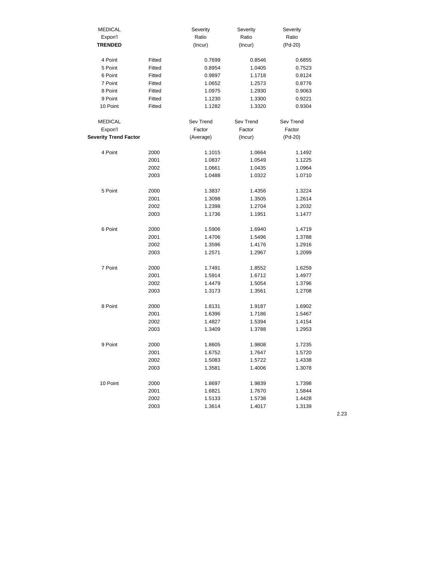| <b>MEDICAL</b>               |        | Severity  | Severity  | Severity         |
|------------------------------|--------|-----------|-----------|------------------|
| Expon'l                      |        | Ratio     | Ratio     | Ratio            |
| <b>TRENDED</b>               |        | (Incur)   | (Incur)   | $(Pd-20)$        |
|                              |        |           |           |                  |
| 4 Point                      | Fitted | 0.7699    | 0.8546    | 0.6855           |
| 5 Point                      | Fitted | 0.8954    | 1.0405    | 0.7523           |
| 6 Point                      | Fitted | 0.9897    | 1.1718    | 0.8124           |
| 7 Point                      | Fitted | 1.0652    | 1.2573    | 0.8776           |
| 8 Point                      | Fitted | 1.0975    | 1.2930    | 0.9063           |
| 9 Point                      | Fitted | 1.1230    | 1.3300    | 0.9221           |
| 10 Point                     | Fitted | 1.1282    | 1.3320    | 0.9304           |
| <b>MEDICAL</b>               |        | Sev Trend | Sev Trend | Sev Trend        |
| Expon'l                      |        | Factor    | Factor    | Factor           |
| <b>Severity Trend Factor</b> |        | (Average) | (Incur)   | $(Pd-20)$        |
|                              |        |           |           |                  |
| 4 Point                      | 2000   | 1.1015    | 1.0664    | 1.1492           |
|                              | 2001   | 1.0837    | 1.0549    | 1.1225           |
|                              | 2002   | 1.0661    | 1.0435    | 1.0964           |
|                              | 2003   | 1.0488    | 1.0322    | 1.0710           |
| 5 Point                      |        |           |           |                  |
|                              | 2000   | 1.3837    | 1.4356    | 1.3224           |
|                              | 2001   | 1.3098    | 1.3505    | 1.2614           |
|                              | 2002   | 1.2398    | 1.2704    | 1.2032           |
|                              | 2003   | 1.1736    | 1.1951    | 1.1477           |
| 6 Point                      | 2000   | 1.5906    | 1.6940    | 1.4719           |
|                              | 2001   | 1.4706    | 1.5496    | 1.3788           |
|                              | 2002   | 1.3596    | 1.4176    | 1.2916           |
|                              | 2003   | 1.2571    | 1.2967    | 1.2099           |
| 7 Point                      | 2000   | 1.7491    | 1.8552    | 1.6259           |
|                              |        |           |           |                  |
|                              | 2001   | 1.5914    | 1.6712    | 1.4977           |
|                              | 2002   | 1.4479    | 1.5054    | 1.3796           |
|                              | 2003   | 1.3173    | 1.3561    | 1.2708           |
| 8 Point                      | 2000   | 1.8131    | 1.9187    | 1.6902           |
|                              | 2001   | 1.6396    | 1.7186    | 1.5467           |
|                              | 2002   | 1.4827    | 1.5394    | 1.4154           |
|                              | 2003   | 1.3409    | 1.3788    | 1.2953           |
| 9 Point                      | 2000   | 1.8605    | 1.9808    | 1.7235           |
|                              | 2001   | 1.6752    | 1.7647    |                  |
|                              | 2002   | 1.5083    | 1.5722    | 1.5720<br>1.4338 |
|                              |        |           |           |                  |
|                              | 2003   | 1.3581    | 1.4006    | 1.3078           |
| 10 Point                     | 2000   | 1.8697    | 1.9839    | 1.7398           |
|                              | 2001   | 1.6821    | 1.7670    | 1.5844           |
|                              | 2002   | 1.5133    | 1.5738    | 1.4428           |
|                              | 2003   | 1.3614    | 1.4017    | 1.3139           |
|                              |        |           |           |                  |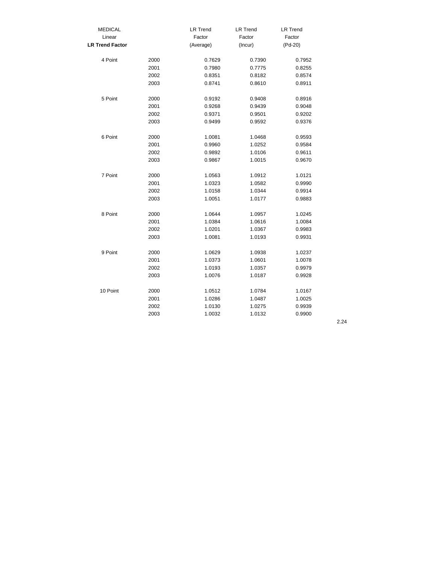| <b>MEDICAL</b>         |      | <b>LR Trend</b> | <b>LR Trend</b> | <b>LR Trend</b> |
|------------------------|------|-----------------|-----------------|-----------------|
| Linear                 |      | Factor          | Factor          | Factor          |
| <b>LR Trend Factor</b> |      | (Average)       | (Incur)         | (Pd-20)         |
| 4 Point                | 2000 | 0.7629          | 0.7390          | 0.7952          |
|                        | 2001 | 0.7980          | 0.7775          | 0.8255          |
|                        | 2002 | 0.8351          | 0.8182          | 0.8574          |
|                        | 2003 | 0.8741          | 0.8610          | 0.8911          |
| 5 Point                | 2000 | 0.9192          | 0.9408          | 0.8916          |
|                        | 2001 | 0.9268          | 0.9439          | 0.9048          |
|                        | 2002 | 0.9371          | 0.9501          | 0.9202          |
|                        | 2003 | 0.9499          | 0.9592          | 0.9376          |
| 6 Point                | 2000 | 1.0081          | 1.0468          | 0.9593          |
|                        | 2001 | 0.9960          | 1.0252          | 0.9584          |
|                        | 2002 | 0.9892          | 1.0106          | 0.9611          |
|                        | 2003 | 0.9867          | 1.0015          | 0.9670          |
| 7 Point                | 2000 | 1.0563          | 1.0912          | 1.0121          |
|                        | 2001 | 1.0323          | 1.0582          | 0.9990          |
|                        | 2002 | 1.0158          | 1.0344          | 0.9914          |
|                        | 2003 | 1.0051          | 1.0177          | 0.9883          |
| 8 Point                | 2000 | 1.0644          | 1.0957          | 1.0245          |
|                        | 2001 | 1.0384          | 1.0616          | 1.0084          |
|                        | 2002 | 1.0201          | 1.0367          | 0.9983          |
|                        | 2003 | 1.0081          | 1.0193          | 0.9931          |
| 9 Point                | 2000 | 1.0629          | 1.0938          | 1.0237          |
|                        | 2001 | 1.0373          | 1.0601          | 1.0078          |
|                        | 2002 | 1.0193          | 1.0357          | 0.9979          |
|                        | 2003 | 1.0076          | 1.0187          | 0.9928          |
| 10 Point               | 2000 | 1.0512          | 1.0784          | 1.0167          |
|                        | 2001 | 1.0286          | 1.0487          | 1.0025          |
|                        | 2002 | 1.0130          | 1.0275          | 0.9939          |
|                        | 2003 | 1.0032          | 1.0132          | 0.9900          |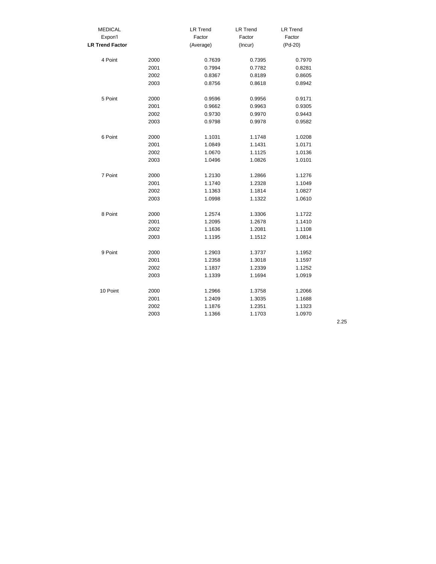| <b>MEDICAL</b>         |      | <b>LR Trend</b> | <b>LR Trend</b> | <b>LR Trend</b> |
|------------------------|------|-----------------|-----------------|-----------------|
| Expon'l                |      | Factor          | Factor          | Factor          |
| <b>LR Trend Factor</b> |      | (Average)       | (Incur)         | (Pd-20)         |
| 4 Point                | 2000 | 0.7639          | 0.7395          | 0.7970          |
|                        | 2001 | 0.7994          | 0.7782          | 0.8281          |
|                        | 2002 | 0.8367          | 0.8189          | 0.8605          |
|                        | 2003 | 0.8756          | 0.8618          | 0.8942          |
| 5 Point                | 2000 | 0.9596          | 0.9956          | 0.9171          |
|                        | 2001 | 0.9662          | 0.9963          | 0.9305          |
|                        | 2002 | 0.9730          | 0.9970          | 0.9443          |
|                        | 2003 | 0.9798          | 0.9978          | 0.9582          |
| 6 Point                | 2000 | 1.1031          | 1.1748          | 1.0208          |
|                        | 2001 | 1.0849          | 1.1431          | 1.0171          |
|                        | 2002 | 1.0670          | 1.1125          | 1.0136          |
|                        | 2003 | 1.0496          | 1.0826          | 1.0101          |
| 7 Point                | 2000 | 1.2130          | 1.2866          | 1.1276          |
|                        | 2001 | 1.1740          | 1.2328          | 1.1049          |
|                        | 2002 | 1.1363          | 1.1814          | 1.0827          |
|                        | 2003 | 1.0998          | 1.1322          | 1.0610          |
| 8 Point                | 2000 | 1.2574          | 1.3306          | 1.1722          |
|                        | 2001 | 1.2095          | 1.2678          | 1.1410          |
|                        | 2002 | 1.1636          | 1.2081          | 1.1108          |
|                        | 2003 | 1.1195          | 1.1512          | 1.0814          |
| 9 Point                | 2000 | 1.2903          | 1.3737          | 1.1952          |
|                        | 2001 | 1.2358          | 1.3018          | 1.1597          |
|                        | 2002 | 1.1837          | 1.2339          | 1.1252          |
|                        | 2003 | 1.1339          | 1.1694          | 1.0919          |
| 10 Point               | 2000 | 1.2966          | 1.3758          | 1.2066          |
|                        | 2001 | 1.2409          | 1.3035          | 1.1688          |
|                        | 2002 | 1.1876          | 1.2351          | 1.1323          |
|                        | 2003 | 1.1366          | 1.1703          | 1.0970          |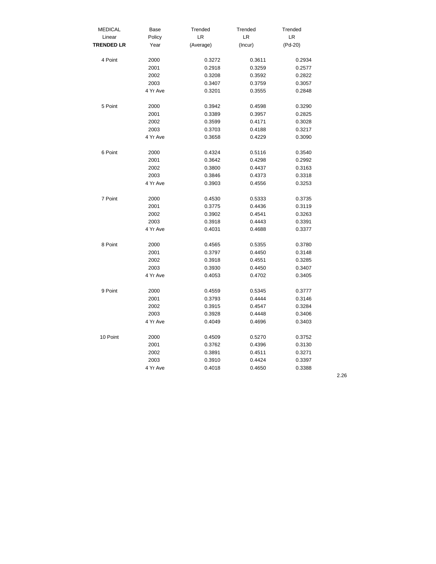| <b>MEDICAL</b>    | Base     | Trended   | Trended | Trended   |
|-------------------|----------|-----------|---------|-----------|
| Linear            | Policy   | LR        | LR      | LR        |
| <b>TRENDED LR</b> | Year     | (Average) | (Incur) | $(Pd-20)$ |
| 4 Point           | 2000     | 0.3272    | 0.3611  | 0.2934    |
|                   | 2001     | 0.2918    | 0.3259  | 0.2577    |
|                   | 2002     | 0.3208    | 0.3592  | 0.2822    |
|                   | 2003     | 0.3407    | 0.3759  | 0.3057    |
|                   | 4 Yr Ave | 0.3201    | 0.3555  | 0.2848    |
| 5 Point           |          |           |         | 0.3290    |
|                   | 2000     | 0.3942    | 0.4598  |           |
|                   | 2001     | 0.3389    | 0.3957  | 0.2825    |
|                   | 2002     | 0.3599    | 0.4171  | 0.3028    |
|                   | 2003     | 0.3703    | 0.4188  | 0.3217    |
|                   | 4 Yr Ave | 0.3658    | 0.4229  | 0.3090    |
| 6 Point           | 2000     | 0.4324    | 0.5116  | 0.3540    |
|                   | 2001     | 0.3642    | 0.4298  | 0.2992    |
|                   | 2002     | 0.3800    | 0.4437  | 0.3163    |
|                   | 2003     | 0.3846    | 0.4373  | 0.3318    |
|                   | 4 Yr Ave | 0.3903    | 0.4556  | 0.3253    |
| 7 Point           | 2000     | 0.4530    | 0.5333  | 0.3735    |
|                   | 2001     | 0.3775    | 0.4436  | 0.3119    |
|                   | 2002     | 0.3902    | 0.4541  | 0.3263    |
|                   | 2003     | 0.3918    | 0.4443  | 0.3391    |
|                   | 4 Yr Ave | 0.4031    | 0.4688  | 0.3377    |
| 8 Point           | 2000     | 0.4565    | 0.5355  | 0.3780    |
|                   | 2001     | 0.3797    | 0.4450  | 0.3148    |
|                   | 2002     | 0.3918    | 0.4551  | 0.3285    |
|                   | 2003     | 0.3930    | 0.4450  | 0.3407    |
|                   | 4 Yr Ave | 0.4053    | 0.4702  | 0.3405    |
|                   |          |           |         |           |
| 9 Point           | 2000     | 0.4559    | 0.5345  | 0.3777    |
|                   | 2001     | 0.3793    | 0.4444  | 0.3146    |
|                   | 2002     | 0.3915    | 0.4547  | 0.3284    |
|                   | 2003     | 0.3928    | 0.4448  | 0.3406    |
|                   | 4 Yr Ave | 0.4049    | 0.4696  | 0.3403    |
| 10 Point          | 2000     | 0.4509    | 0.5270  | 0.3752    |
|                   | 2001     | 0.3762    | 0.4396  | 0.3130    |
|                   | 2002     | 0.3891    | 0.4511  | 0.3271    |
|                   | 2003     | 0.3910    | 0.4424  | 0.3397    |
|                   | 4 Yr Ave | 0.4018    | 0.4650  | 0.3388    |
|                   |          |           |         |           |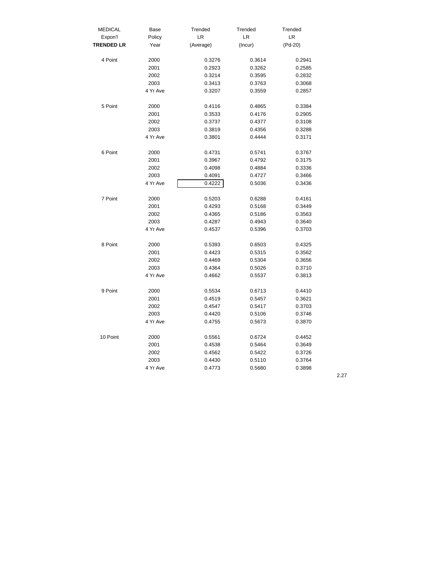| <b>MEDICAL</b>    | Base     | Trended   | Trended          | Trended          |
|-------------------|----------|-----------|------------------|------------------|
| Expon'l           | Policy   | LR        | LR               | LR               |
| <b>TRENDED LR</b> | Year     | (Average) | (Incur)          | $(Pd-20)$        |
| 4 Point           | 2000     | 0.3276    | 0.3614           | 0.2941           |
|                   | 2001     | 0.2923    | 0.3262           | 0.2585           |
|                   | 2002     | 0.3214    | 0.3595           | 0.2832           |
|                   | 2003     | 0.3413    | 0.3763           | 0.3068           |
|                   | 4 Yr Ave | 0.3207    | 0.3559           | 0.2857           |
| 5 Point           | 2000     | 0.4116    | 0.4865           | 0.3384           |
|                   | 2001     | 0.3533    | 0.4176           | 0.2905           |
|                   | 2002     | 0.3737    |                  |                  |
|                   | 2003     | 0.3819    | 0.4377<br>0.4356 | 0.3108<br>0.3288 |
|                   | 4 Yr Ave |           |                  |                  |
|                   |          | 0.3801    | 0.4444           | 0.3171           |
| 6 Point           | 2000     | 0.4731    | 0.5741           | 0.3767           |
|                   | 2001     | 0.3967    | 0.4792           | 0.3175           |
|                   | 2002     | 0.4098    | 0.4884           | 0.3336           |
|                   | 2003     | 0.4091    | 0.4727           | 0.3466           |
|                   | 4 Yr Ave | 0.4222    | 0.5036           | 0.3436           |
| 7 Point           | 2000     | 0.5203    | 0.6288           | 0.4161           |
|                   | 2001     | 0.4293    | 0.5168           | 0.3449           |
|                   | 2002     | 0.4365    | 0.5186           | 0.3563           |
|                   | 2003     | 0.4287    | 0.4943           | 0.3640           |
|                   | 4 Yr Ave | 0.4537    | 0.5396           | 0.3703           |
|                   |          |           |                  |                  |
| 8 Point           | 2000     | 0.5393    | 0.6503           | 0.4325           |
|                   | 2001     | 0.4423    | 0.5315           | 0.3562           |
|                   | 2002     | 0.4469    | 0.5304           | 0.3656           |
|                   | 2003     | 0.4364    | 0.5026           | 0.3710           |
|                   | 4 Yr Ave | 0.4662    | 0.5537           | 0.3813           |
| 9 Point           | 2000     | 0.5534    | 0.6713           | 0.4410           |
|                   | 2001     | 0.4519    | 0.5457           | 0.3621           |
|                   | 2002     | 0.4547    | 0.5417           | 0.3703           |
|                   | 2003     | 0.4420    | 0.5106           | 0.3746           |
|                   | 4 Yr Ave | 0.4755    | 0.5673           | 0.3870           |
| 10 Point          | 2000     | 0.5561    | 0.6724           | 0.4452           |
|                   | 2001     | 0.4538    | 0.5464           | 0.3649           |
|                   | 2002     | 0.4562    | 0.5422           | 0.3726           |
|                   | 2003     | 0.4430    | 0.5110           | 0.3764           |
|                   | 4 Yr Ave | 0.4773    | 0.5680           | 0.3898           |
|                   |          |           |                  |                  |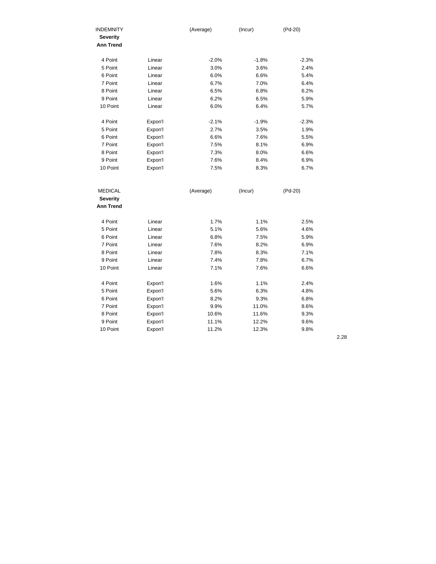| <b>INDEMNITY</b><br><b>Severity</b><br><b>Ann Trend</b> |         | (Average) | (Incur) | (Pd-20) |
|---------------------------------------------------------|---------|-----------|---------|---------|
| 4 Point                                                 | Linear  | $-2.0%$   | $-1.8%$ | $-2.3%$ |
| 5 Point                                                 | Linear  | 3.0%      | 3.6%    | 2.4%    |
| 6 Point                                                 | Linear  | 6.0%      | 6.6%    | 5.4%    |
| 7 Point                                                 | Linear  | 6.7%      | 7.0%    | 6.4%    |
| 8 Point                                                 | Linear  | 6.5%      | 6.8%    | 6.2%    |
| 9 Point                                                 | Linear  | 6.2%      | 6.5%    | 5.9%    |
| 10 Point                                                | Linear  | 6.0%      | 6.4%    | 5.7%    |
| 4 Point                                                 | Expon'l | $-2.1%$   | $-1.9%$ | $-2.3%$ |
| 5 Point                                                 | Expon'l | 2.7%      | 3.5%    | 1.9%    |
| 6 Point                                                 | Expon'l | 6.6%      | 7.6%    | 5.5%    |
| 7 Point                                                 | Expon'l | 7.5%      | 8.1%    | 6.9%    |
| 8 Point                                                 | Expon'l | 7.3%      | 8.0%    | 6.6%    |
| 9 Point                                                 | Expon'l | 7.6%      | 8.4%    | 6.9%    |
| 10 Point                                                | Expon'l | 7.5%      | 8.3%    | 6.7%    |
| <b>MEDICAL</b>                                          |         | (Average) | (Incur) | (Pd-20) |
| <b>Severity</b>                                         |         |           |         |         |
| <b>Ann Trend</b>                                        |         |           |         |         |
| 4 Point                                                 | Linear  | 1.7%      | 1.1%    | 2.5%    |
| 5 Point                                                 | Linear  | 5.1%      | 5.6%    | 4.6%    |
| 6 Point                                                 | Linear  | 6.8%      | 7.5%    | 5.9%    |
| 7 Point                                                 | Linear  | 7.6%      | 8.2%    | 6.9%    |
| 8 Point                                                 | Linear  | 7.8%      | 8.3%    | 7.1%    |
| 9 Point                                                 | Linear  | 7.4%      | 7.8%    | 6.7%    |
| 10 Point                                                | Linear  | 7.1%      | 7.6%    | 6.6%    |
| 4 Point                                                 | Expon'l | 1.6%      | 1.1%    | 2.4%    |
| 5 Point                                                 | Expon'l | 5.6%      | 6.3%    | 4.8%    |
| 6 Point                                                 | Expon'l | 8.2%      | 9.3%    | 6.8%    |
| 7 Point                                                 | Expon'l | 9.9%      | 11.0%   | 8.6%    |
| 8 Point                                                 | Expon'l | 10.6%     | 11.6%   | 9.3%    |
| 9 Point                                                 | Expon'l | 11.1%     | 12.2%   | 9.6%    |

10 Point Expon'l 11.2% 12.3% 9.8%